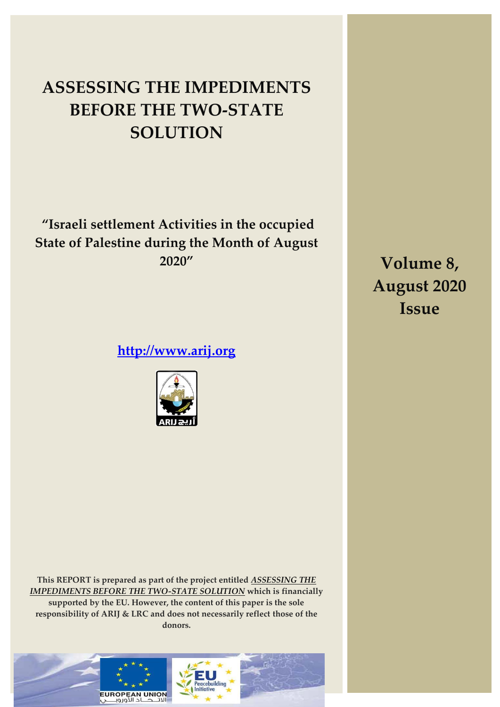# **ASSESSING THE IMPEDIMENTS BEFORE THE TWO-STATE SOLUTION**

**"Israeli settlement Activities in the occupied State of Palestine during the Month of August 2020"**

**[http://www.arij.org](http://www.arij.org/)**



**This REPORT is prepared as part of the project entitled** *ASSESSING THE IMPEDIMENTS BEFORE THE TWO-STATE SOLUTION* **which is financially supported by the EU. However, the content of this paper is the sole responsibility of ARIJ & LRC and does not necessarily reflect those of the donors.** 



**Volume 8, August 2020 Issue**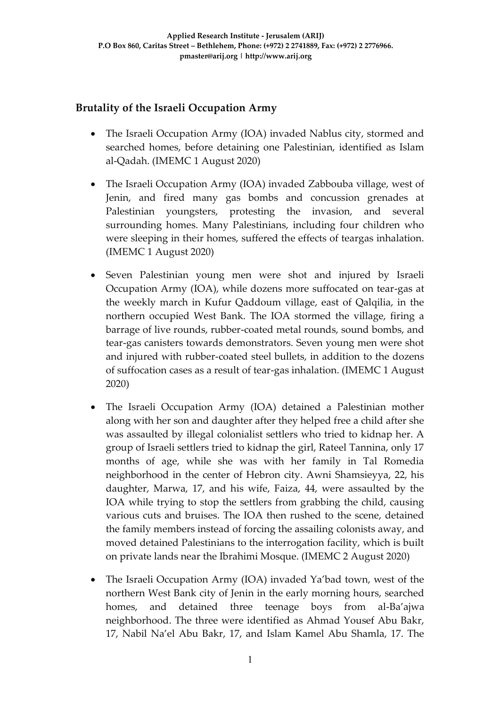### **Brutality of the Israeli Occupation Army**

- The Israeli Occupation Army (IOA) invaded Nablus city, stormed and searched homes, before detaining one Palestinian, identified as Islam al-Qadah. (IMEMC 1 August 2020)
- The Israeli Occupation Army (IOA) invaded Zabbouba village, west of Jenin, and fired many gas bombs and concussion grenades at Palestinian youngsters, protesting the invasion, and several surrounding homes. Many Palestinians, including four children who were sleeping in their homes, suffered the effects of teargas inhalation. (IMEMC 1 August 2020)
- Seven Palestinian young men were shot and injured by Israeli Occupation Army (IOA), while dozens more suffocated on tear-gas at the weekly march in Kufur Qaddoum village, east of Qalqilia, in the northern occupied West Bank. The IOA stormed the village, firing a barrage of live rounds, rubber-coated metal rounds, sound bombs, and tear-gas canisters towards demonstrators. Seven young men were shot and injured with rubber-coated steel bullets, in addition to the dozens of suffocation cases as a result of tear-gas inhalation. (IMEMC 1 August 2020)
- The Israeli Occupation Army (IOA) detained a Palestinian mother along with her son and daughter after they helped free a child after she was assaulted by illegal colonialist settlers who tried to kidnap her. A group of Israeli settlers tried to kidnap the girl, Rateel Tannina, only 17 months of age, while she was with her family in Tal Romedia neighborhood in the center of Hebron city. Awni Shamsieyya, 22, his daughter, Marwa, 17, and his wife, Faiza, 44, were assaulted by the IOA while trying to stop the settlers from grabbing the child, causing various cuts and bruises. The IOA then rushed to the scene, detained the family members instead of forcing the assailing colonists away, and moved detained Palestinians to the interrogation facility, which is built on private lands near the Ibrahimi Mosque. (IMEMC 2 August 2020)
- The Israeli Occupation Army (IOA) invaded Ya'bad town, west of the northern West Bank city of Jenin in the early morning hours, searched homes, and detained three teenage boys from al-Ba'ajwa neighborhood. The three were identified as Ahmad Yousef Abu Bakr, 17, Nabil Na'el Abu Bakr, 17, and Islam Kamel Abu Shamla, 17. The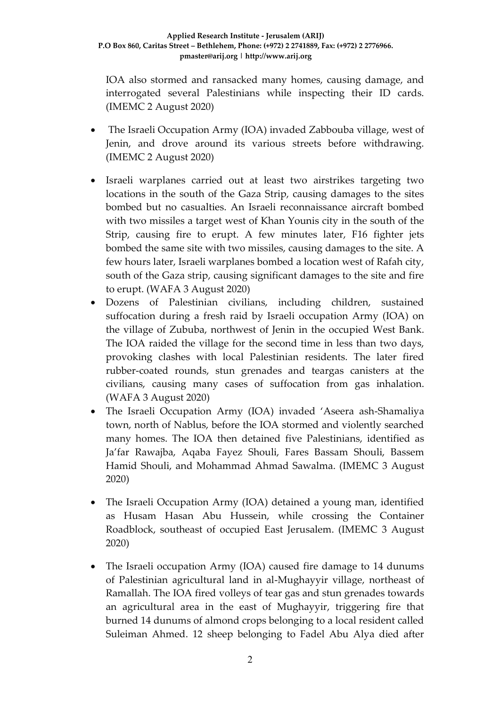IOA also stormed and ransacked many homes, causing damage, and interrogated several Palestinians while inspecting their ID cards. (IMEMC 2 August 2020)

- The Israeli Occupation Army (IOA) invaded Zabbouba village, west of Jenin, and drove around its various streets before withdrawing. (IMEMC 2 August 2020)
- Israeli warplanes carried out at least two airstrikes targeting two locations in the south of the Gaza Strip, causing damages to the sites bombed but no casualties. An Israeli reconnaissance aircraft bombed with two missiles a target west of Khan Younis city in the south of the Strip, causing fire to erupt. A few minutes later, F16 fighter jets bombed the same site with two missiles, causing damages to the site. A few hours later, Israeli warplanes bombed a location west of Rafah city, south of the Gaza strip, causing significant damages to the site and fire to erupt. (WAFA 3 August 2020)
- Dozens of Palestinian civilians, including children, sustained suffocation during a fresh raid by Israeli occupation Army (IOA) on the village of Zububa, northwest of Jenin in the occupied West Bank. The IOA raided the village for the second time in less than two days, provoking clashes with local Palestinian residents. The later fired rubber-coated rounds, stun grenades and teargas canisters at the civilians, causing many cases of suffocation from gas inhalation. (WAFA 3 August 2020)
- The Israeli Occupation Army (IOA) invaded 'Aseera ash-Shamaliya town, north of Nablus, before the IOA stormed and violently searched many homes. The IOA then detained five Palestinians, identified as Ja'far Rawajba, Aqaba Fayez Shouli, Fares Bassam Shouli, Bassem Hamid Shouli, and Mohammad Ahmad Sawalma. (IMEMC 3 August 2020)
- The Israeli Occupation Army (IOA) detained a young man, identified as Husam Hasan Abu Hussein, while crossing the Container Roadblock, southeast of occupied East Jerusalem. (IMEMC 3 August 2020)
- The Israeli occupation Army (IOA) caused fire damage to 14 dunums of Palestinian agricultural land in al-Mughayyir village, northeast of Ramallah. The IOA fired volleys of tear gas and stun grenades towards an agricultural area in the east of Mughayyir, triggering fire that burned 14 dunums of almond crops belonging to a local resident called Suleiman Ahmed. 12 sheep belonging to Fadel Abu Alya died after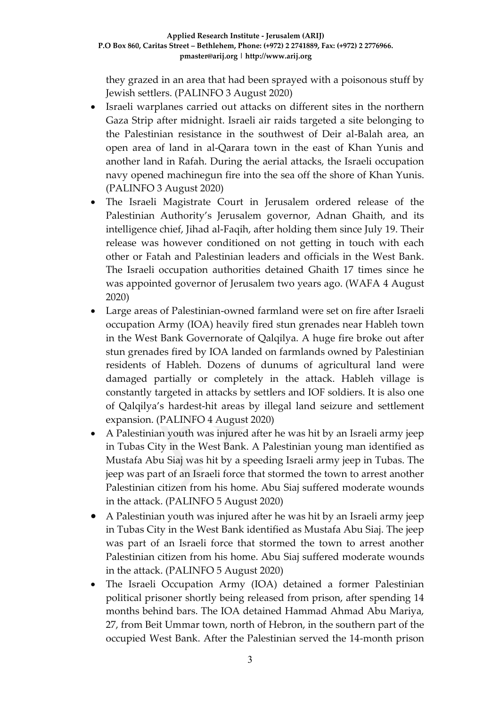they grazed in an area that had been sprayed with a poisonous stuff by Jewish settlers. (PALINFO 3 August 2020)

- Israeli warplanes carried out attacks on different sites in the northern Gaza Strip after midnight. Israeli air raids targeted a site belonging to the Palestinian resistance in the southwest of Deir al-Balah area, an open area of land in al-Qarara town in the east of Khan Yunis and another land in Rafah. During the aerial attacks, the Israeli occupation navy opened machinegun fire into the sea off the shore of Khan Yunis. (PALINFO 3 August 2020)
- The Israeli Magistrate Court in Jerusalem ordered release of the Palestinian Authority's Jerusalem governor, Adnan Ghaith, and its intelligence chief, Jihad al-Faqih, after holding them since July 19. Their release was however conditioned on not getting in touch with each other or Fatah and Palestinian leaders and officials in the West Bank. The Israeli occupation authorities detained Ghaith 17 times since he was appointed governor of Jerusalem two years ago. (WAFA 4 August 2020)
- Large areas of Palestinian-owned farmland were set on fire after Israeli occupation Army (IOA) heavily fired stun grenades near Hableh town in the West Bank Governorate of Qalqilya. A huge fire broke out after stun grenades fired by IOA landed on farmlands owned by Palestinian residents of Hableh. Dozens of dunums of agricultural land were damaged partially or completely in the attack. Hableh village is constantly targeted in attacks by settlers and IOF soldiers. It is also one of Qalqilya's hardest-hit areas by illegal land seizure and settlement expansion. (PALINFO 4 August 2020)
- A Palestinian youth was injured after he was hit by an Israeli army jeep in Tubas City in the West Bank. A Palestinian young man identified as Mustafa Abu Siaj was hit by a speeding Israeli army jeep in Tubas. The jeep was part of an Israeli force that stormed the town to arrest another Palestinian citizen from his home. Abu Siaj suffered moderate wounds in the attack. (PALINFO 5 August 2020)
- A Palestinian youth was injured after he was hit by an Israeli army jeep in Tubas City in the West Bank identified as Mustafa Abu Siaj. The jeep was part of an Israeli force that stormed the town to arrest another Palestinian citizen from his home. Abu Siaj suffered moderate wounds in the attack. (PALINFO 5 August 2020)
- The Israeli Occupation Army (IOA) detained a former Palestinian political prisoner shortly being released from prison, after spending 14 months behind bars. The IOA detained Hammad Ahmad Abu Mariya, 27, from Beit Ummar town, north of Hebron, in the southern part of the occupied West Bank. After the Palestinian served the 14-month prison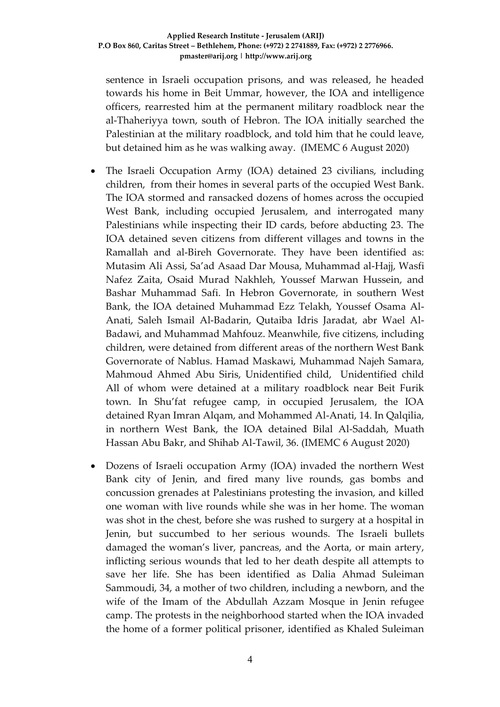sentence in Israeli occupation prisons, and was released, he headed towards his home in Beit Ummar, however, the IOA and intelligence officers, rearrested him at the permanent military roadblock near the al-Thaheriyya town, south of Hebron. The IOA initially searched the Palestinian at the military roadblock, and told him that he could leave, but detained him as he was walking away. (IMEMC 6 August 2020)

- The Israeli Occupation Army (IOA) detained 23 civilians, including children, from their homes in several parts of the occupied West Bank. The IOA stormed and ransacked dozens of homes across the occupied West Bank, including occupied Jerusalem, and interrogated many Palestinians while inspecting their ID cards, before abducting 23. The IOA detained seven citizens from different villages and towns in the Ramallah and al-Bireh Governorate. They have been identified as: Mutasim Ali Assi, Sa'ad Asaad Dar Mousa, Muhammad al-Hajj, Wasfi Nafez Zaita, Osaid Murad Nakhleh, Youssef Marwan Hussein, and Bashar Muhammad Safi. In Hebron Governorate, in southern West Bank, the IOA detained Muhammad Ezz Telakh, Youssef Osama Al-Anati, Saleh Ismail Al-Badarin, Qutaiba Idris Jaradat, abr Wael Al-Badawi, and Muhammad Mahfouz. Meanwhile, five citizens, including children, were detained from different areas of the northern West Bank Governorate of Nablus. Hamad Maskawi, Muhammad Najeh Samara, Mahmoud Ahmed Abu Siris, Unidentified child, Unidentified child All of whom were detained at a military roadblock near Beit Furik town. In Shu'fat refugee camp, in occupied Jerusalem, the IOA detained Ryan Imran Alqam, and Mohammed Al-Anati, 14. In Qalqilia, in northern West Bank, the IOA detained Bilal Al-Saddah, Muath Hassan Abu Bakr, and Shihab Al-Tawil, 36. (IMEMC 6 August 2020)
- Dozens of Israeli occupation Army (IOA) invaded the northern West Bank city of Jenin, and fired many live rounds, gas bombs and concussion grenades at Palestinians protesting the invasion, and killed one woman with live rounds while she was in her home. The woman was shot in the chest, before she was rushed to surgery at a hospital in Jenin, but succumbed to her serious wounds. The Israeli bullets damaged the woman's liver, pancreas, and the Aorta, or main artery, inflicting serious wounds that led to her death despite all attempts to save her life. She has been identified as Dalia Ahmad Suleiman Sammoudi, 34, a mother of two children, including a newborn, and the wife of the Imam of the Abdullah Azzam Mosque in Jenin refugee camp. The protests in the neighborhood started when the IOA invaded the home of a former political prisoner, identified as Khaled Suleiman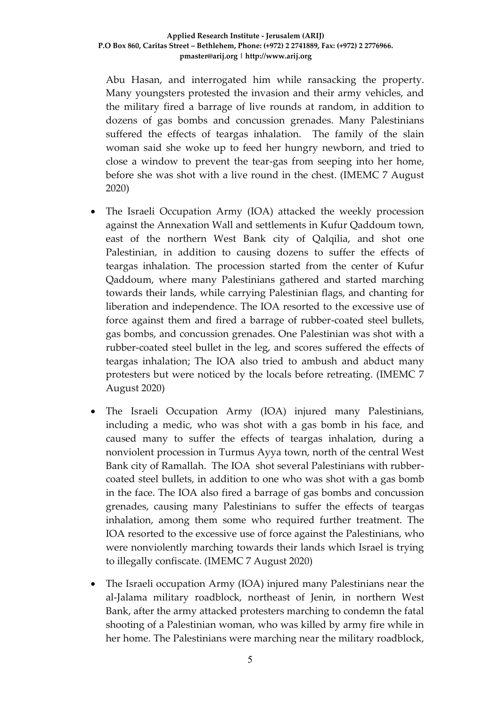Abu Hasan, and interrogated him while ransacking the property. Many youngsters protested the invasion and their army vehicles, and the military fired a barrage of live rounds at random, in addition to dozens of gas bombs and concussion grenades. Many Palestinians suffered the effects of teargas inhalation. The family of the slain woman said she woke up to feed her hungry newborn, and tried to close a window to prevent the tear-gas from seeping into her home, before she was shot with a live round in the chest. (IMEMC 7 August 2020)

- The Israeli Occupation Army (IOA) attacked the weekly procession against the Annexation Wall and settlements in Kufur Qaddoum town, east of the northern West Bank city of Qalqilia, and shot one Palestinian, in addition to causing dozens to suffer the effects of teargas inhalation. The procession started from the center of Kufur Qaddoum, where many Palestinians gathered and started marching towards their lands, while carrying Palestinian flags, and chanting for liberation and independence. The IOA resorted to the excessive use of force against them and fired a barrage of rubber-coated steel bullets, gas bombs, and concussion grenades. One Palestinian was shot with a rubber-coated steel bullet in the leg, and scores suffered the effects of teargas inhalation; The IOA also tried to ambush and abduct many protesters but were noticed by the locals before retreating. (IMEMC 7 August 2020)
- The Israeli Occupation Army (IOA) injured many Palestinians, including a medic, who was shot with a gas bomb in his face, and caused many to suffer the effects of teargas inhalation, during a nonviolent procession in Turmus Ayya town, north of the central West Bank city of Ramallah. The IOA shot several Palestinians with rubbercoated steel bullets, in addition to one who was shot with a gas bomb in the face. The IOA also fired a barrage of gas bombs and concussion grenades, causing many Palestinians to suffer the effects of teargas inhalation, among them some who required further treatment. The IOA resorted to the excessive use of force against the Palestinians, who were nonviolently marching towards their lands which Israel is trying to illegally confiscate. (IMEMC 7 August 2020)
- The Israeli occupation Army (IOA) injured many Palestinians near the al-Jalama military roadblock, northeast of Jenin, in northern West Bank, after the army attacked protesters marching to condemn the fatal shooting of a Palestinian woman, who was killed by army fire while in her home. The Palestinians were marching near the military roadblock,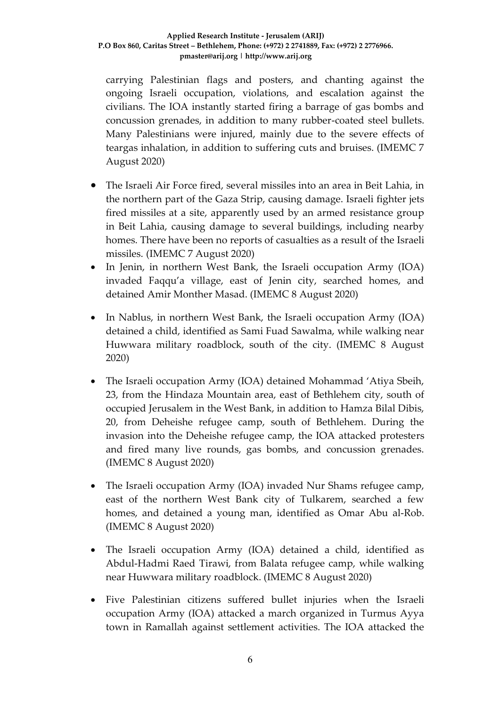#### **Applied Research Institute - Jerusalem (ARIJ) P.O Box 860, Caritas Street – Bethlehem, Phone: (+972) 2 2741889, Fax: (+972) 2 2776966. pmaster@arij.org | http://www.arij.org**

carrying Palestinian flags and posters, and chanting against the ongoing Israeli occupation, violations, and escalation against the civilians. The IOA instantly started firing a barrage of gas bombs and concussion grenades, in addition to many rubber-coated steel bullets. Many Palestinians were injured, mainly due to the severe effects of teargas inhalation, in addition to suffering cuts and bruises. (IMEMC 7 August 2020)

- The Israeli Air Force fired, several missiles into an area in Beit Lahia, in the northern part of the Gaza Strip, causing damage. Israeli fighter jets fired missiles at a site, apparently used by an armed resistance group in Beit Lahia, causing damage to several buildings, including nearby homes. There have been no reports of casualties as a result of the Israeli missiles. (IMEMC 7 August 2020)
- In Jenin, in northern West Bank, the Israeli occupation Army (IOA) invaded Faqqu'a village, east of Jenin city, searched homes, and detained Amir Monther Masad. (IMEMC 8 August 2020)
- In Nablus, in northern West Bank, the Israeli occupation Army (IOA) detained a child, identified as Sami Fuad Sawalma, while walking near Huwwara military roadblock, south of the city. (IMEMC 8 August 2020)
- The Israeli occupation Army (IOA) detained Mohammad 'Atiya Sbeih, 23, from the Hindaza Mountain area, east of Bethlehem city, south of occupied Jerusalem in the West Bank, in addition to Hamza Bilal Dibis, 20, from Deheishe refugee camp, south of Bethlehem. During the invasion into the Deheishe refugee camp, the IOA attacked protesters and fired many live rounds, gas bombs, and concussion grenades. (IMEMC 8 August 2020)
- The Israeli occupation Army (IOA) invaded Nur Shams refugee camp, east of the northern West Bank city of Tulkarem, searched a few homes, and detained a young man, identified as Omar Abu al-Rob. (IMEMC 8 August 2020)
- The Israeli occupation Army (IOA) detained a child, identified as Abdul-Hadmi Raed Tirawi, from Balata refugee camp, while walking near Huwwara military roadblock. (IMEMC 8 August 2020)
- Five Palestinian citizens suffered bullet injuries when the Israeli occupation Army (IOA) attacked a march organized in Turmus Ayya town in Ramallah against settlement activities. The IOA attacked the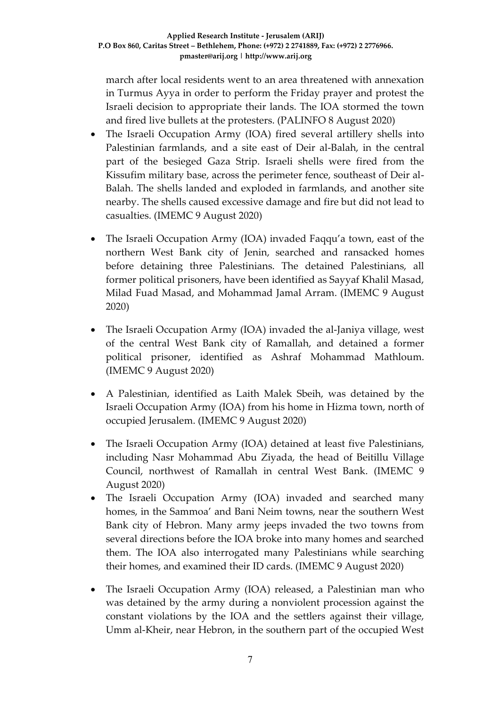march after local residents went to an area threatened with annexation in Turmus Ayya in order to perform the Friday prayer and protest the Israeli decision to appropriate their lands. The IOA stormed the town and fired live bullets at the protesters. (PALINFO 8 August 2020)

- The Israeli Occupation Army (IOA) fired several artillery shells into Palestinian farmlands, and a site east of Deir al-Balah, in the central part of the besieged Gaza Strip. Israeli shells were fired from the Kissufim military base, across the perimeter fence, southeast of Deir al-Balah. The shells landed and exploded in farmlands, and another site nearby. The shells caused excessive damage and fire but did not lead to casualties. (IMEMC 9 August 2020)
- The Israeli Occupation Army (IOA) invaded Faqqu'a town, east of the northern West Bank city of Jenin, searched and ransacked homes before detaining three Palestinians. The detained Palestinians, all former political prisoners, have been identified as Sayyaf Khalil Masad, Milad Fuad Masad, and Mohammad Jamal Arram. (IMEMC 9 August 2020)
- The Israeli Occupation Army (IOA) invaded the al-Janiya village, west of the central West Bank city of Ramallah, and detained a former political prisoner, identified as Ashraf Mohammad Mathloum. (IMEMC 9 August 2020)
- A Palestinian, identified as Laith Malek Sbeih, was detained by the Israeli Occupation Army (IOA) from his home in Hizma town, north of occupied Jerusalem. (IMEMC 9 August 2020)
- The Israeli Occupation Army (IOA) detained at least five Palestinians, including Nasr Mohammad Abu Ziyada, the head of Beitillu Village Council, northwest of Ramallah in central West Bank. (IMEMC 9 August 2020)
- The Israeli Occupation Army (IOA) invaded and searched many homes, in the Sammoa' and Bani Neim towns, near the southern West Bank city of Hebron. Many army jeeps invaded the two towns from several directions before the IOA broke into many homes and searched them. The IOA also interrogated many Palestinians while searching their homes, and examined their ID cards. (IMEMC 9 August 2020)
- The Israeli Occupation Army (IOA) released, a Palestinian man who was detained by the army during a nonviolent procession against the constant violations by the IOA and the settlers against their village, Umm al-Kheir, near Hebron, in the southern part of the occupied West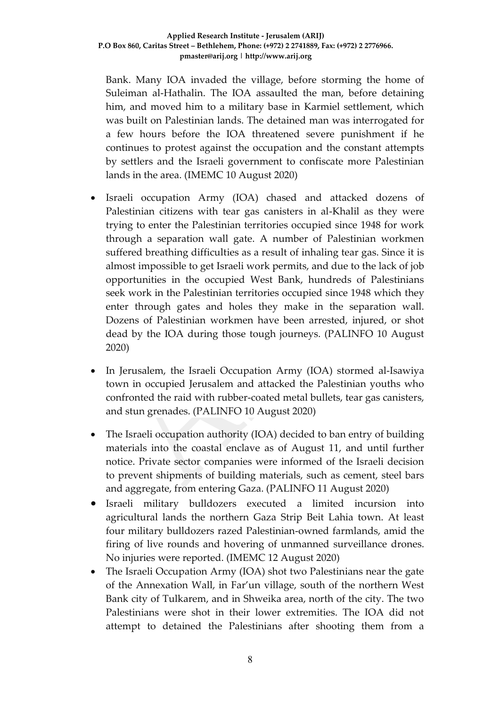Bank. Many IOA invaded the village, before storming the home of Suleiman al-Hathalin. The IOA assaulted the man, before detaining him, and moved him to a military base in Karmiel settlement, which was built on Palestinian lands. The detained man was interrogated for a few hours before the IOA threatened severe punishment if he continues to protest against the occupation and the constant attempts by settlers and the Israeli government to confiscate more Palestinian lands in the area. (IMEMC 10 August 2020)

- Israeli occupation Army (IOA) chased and attacked dozens of Palestinian citizens with tear gas canisters in al-Khalil as they were trying to enter the Palestinian territories occupied since 1948 for work through a separation wall gate. A number of Palestinian workmen suffered breathing difficulties as a result of inhaling tear gas. Since it is almost impossible to get Israeli work permits, and due to the lack of job opportunities in the occupied West Bank, hundreds of Palestinians seek work in the Palestinian territories occupied since 1948 which they enter through gates and holes they make in the separation wall. Dozens of Palestinian workmen have been arrested, injured, or shot dead by the IOA during those tough journeys. (PALINFO 10 August 2020)
- In Jerusalem, the Israeli Occupation Army (IOA) stormed al-Isawiya town in occupied Jerusalem and attacked the Palestinian youths who confronted the raid with rubber-coated metal bullets, tear gas canisters, and stun grenades. (PALINFO 10 August 2020)
- The Israeli occupation authority (IOA) decided to ban entry of building materials into the coastal enclave as of August 11, and until further notice. Private sector companies were informed of the Israeli decision to prevent shipments of building materials, such as cement, steel bars and aggregate, from entering Gaza. (PALINFO 11 August 2020)
- Israeli military bulldozers executed a limited incursion into agricultural lands the northern Gaza Strip Beit Lahia town. At least four military bulldozers razed Palestinian-owned farmlands, amid the firing of live rounds and hovering of unmanned surveillance drones. No injuries were reported. (IMEMC 12 August 2020)
- The Israeli Occupation Army (IOA) shot two Palestinians near the gate of the Annexation Wall, in Far'un village, south of the northern West Bank city of Tulkarem, and in Shweika area, north of the city. The two Palestinians were shot in their lower extremities. The IOA did not attempt to detained the Palestinians after shooting them from a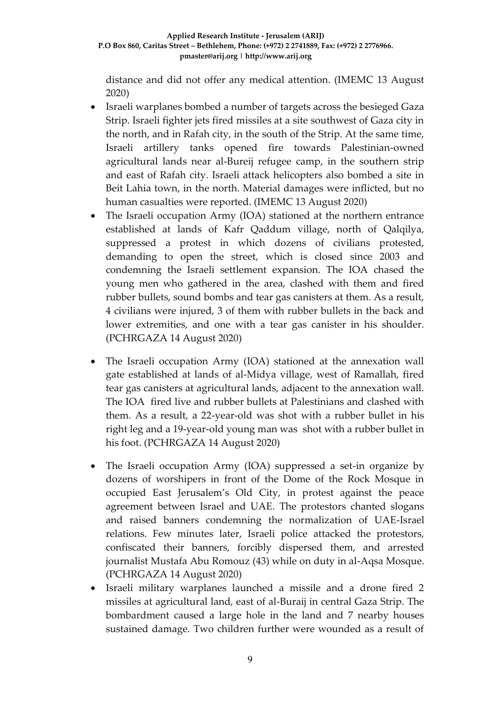distance and did not offer any medical attention. (IMEMC 13 August 2020)

- Israeli warplanes bombed a number of targets across the besieged Gaza Strip. Israeli fighter jets fired missiles at a site southwest of Gaza city in the north, and in Rafah city, in the south of the Strip. At the same time, Israeli artillery tanks opened fire towards Palestinian-owned agricultural lands near al-Bureij refugee camp, in the southern strip and east of Rafah city. Israeli attack helicopters also bombed a site in Beit Lahia town, in the north. Material damages were inflicted, but no human casualties were reported. (IMEMC 13 August 2020)
- The Israeli occupation Army (IOA) stationed at the northern entrance established at lands of Kafr Qaddum village, north of Qalqilya, suppressed a protest in which dozens of civilians protested, demanding to open the street, which is closed since 2003 and condemning the Israeli settlement expansion. The IOA chased the young men who gathered in the area, clashed with them and fired rubber bullets, sound bombs and tear gas canisters at them. As a result, 4 civilians were injured, 3 of them with rubber bullets in the back and lower extremities, and one with a tear gas canister in his shoulder. (PCHRGAZA 14 August 2020)
- The Israeli occupation Army (IOA) stationed at the annexation wall gate established at lands of al-Midya village, west of Ramallah, fired tear gas canisters at agricultural lands, adjacent to the annexation wall. The IOA fired live and rubber bullets at Palestinians and clashed with them. As a result, a 22-year-old was shot with a rubber bullet in his right leg and a 19-year-old young man was shot with a rubber bullet in his foot. (PCHRGAZA 14 August 2020)
- The Israeli occupation Army (IOA) suppressed a set-in organize by dozens of worshipers in front of the Dome of the Rock Mosque in occupied East Jerusalem's Old City, in protest against the peace agreement between Israel and UAE. The protestors chanted slogans and raised banners condemning the normalization of UAE-Israel relations. Few minutes later, Israeli police attacked the protestors, confiscated their banners, forcibly dispersed them, and arrested journalist Mustafa Abu Romouz (43) while on duty in al-Aqsa Mosque. (PCHRGAZA 14 August 2020)
- Israeli military warplanes launched a missile and a drone fired 2 missiles at agricultural land, east of al-Buraij in central Gaza Strip. The bombardment caused a large hole in the land and 7 nearby houses sustained damage. Two children further were wounded as a result of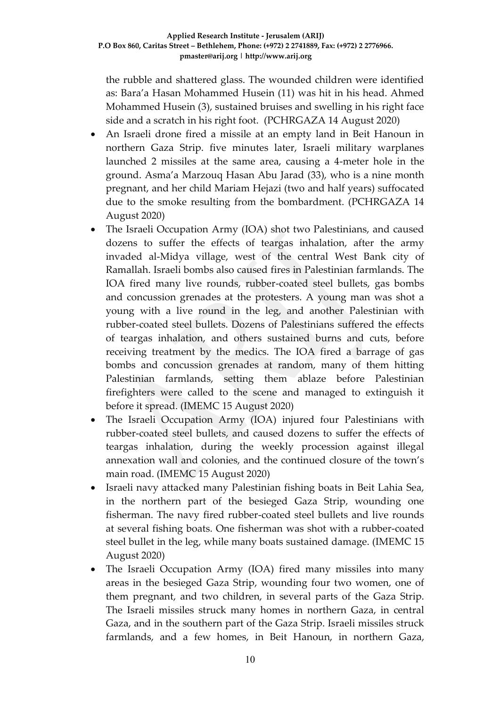the rubble and shattered glass. The wounded children were identified as: Bara'a Hasan Mohammed Husein (11) was hit in his head. Ahmed Mohammed Husein (3), sustained bruises and swelling in his right face side and a scratch in his right foot. (PCHRGAZA 14 August 2020)

- An Israeli drone fired a missile at an empty land in Beit Hanoun in northern Gaza Strip. five minutes later, Israeli military warplanes launched 2 missiles at the same area, causing a 4-meter hole in the ground. Asma'a Marzouq Hasan Abu Jarad (33), who is a nine month pregnant, and her child Mariam Hejazi (two and half years) suffocated due to the smoke resulting from the bombardment. (PCHRGAZA 14 August 2020)
- The Israeli Occupation Army (IOA) shot two Palestinians, and caused dozens to suffer the effects of teargas inhalation, after the army invaded al-Midya village, west of the central West Bank city of Ramallah. Israeli bombs also caused fires in Palestinian farmlands. The IOA fired many live rounds, rubber-coated steel bullets, gas bombs and concussion grenades at the protesters. A young man was shot a young with a live round in the leg, and another Palestinian with rubber-coated steel bullets. Dozens of Palestinians suffered the effects of teargas inhalation, and others sustained burns and cuts, before receiving treatment by the medics. The IOA fired a barrage of gas bombs and concussion grenades at random, many of them hitting Palestinian farmlands, setting them ablaze before Palestinian firefighters were called to the scene and managed to extinguish it before it spread. (IMEMC 15 August 2020)
- The Israeli Occupation Army (IOA) injured four Palestinians with rubber-coated steel bullets, and caused dozens to suffer the effects of teargas inhalation, during the weekly procession against illegal annexation wall and colonies, and the continued closure of the town's main road. (IMEMC 15 August 2020)
- Israeli navy attacked many Palestinian fishing boats in Beit Lahia Sea, in the northern part of the besieged Gaza Strip, wounding one fisherman. The navy fired rubber-coated steel bullets and live rounds at several fishing boats. One fisherman was shot with a rubber-coated steel bullet in the leg, while many boats sustained damage. (IMEMC 15 August 2020)
- The Israeli Occupation Army (IOA) fired many missiles into many areas in the besieged Gaza Strip, wounding four two women, one of them pregnant, and two children, in several parts of the Gaza Strip. The Israeli missiles struck many homes in northern Gaza, in central Gaza, and in the southern part of the Gaza Strip. Israeli missiles struck farmlands, and a few homes, in Beit Hanoun, in northern Gaza,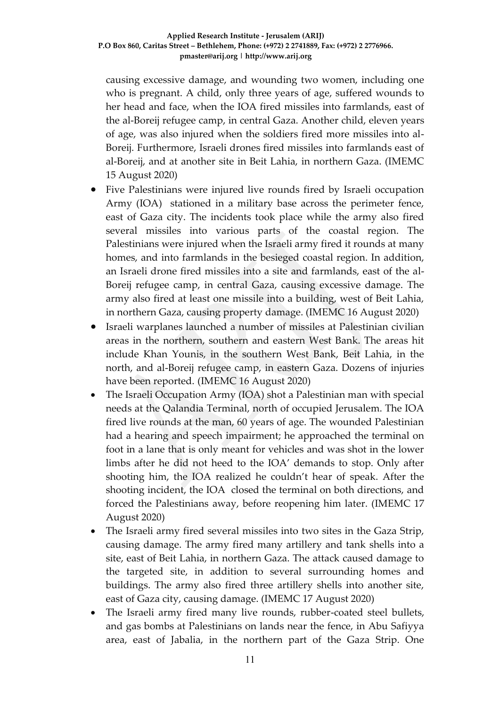causing excessive damage, and wounding two women, including one who is pregnant. A child, only three years of age, suffered wounds to her head and face, when the IOA fired missiles into farmlands, east of the al-Boreij refugee camp, in central Gaza. Another child, eleven years of age, was also injured when the soldiers fired more missiles into al-Boreij. Furthermore, Israeli drones fired missiles into farmlands east of al-Boreij, and at another site in Beit Lahia, in northern Gaza. (IMEMC 15 August 2020)

- Five Palestinians were injured live rounds fired by Israeli occupation Army (IOA) stationed in a military base across the perimeter fence, east of Gaza city. The incidents took place while the army also fired several missiles into various parts of the coastal region. The Palestinians were injured when the Israeli army fired it rounds at many homes, and into farmlands in the besieged coastal region. In addition, an Israeli drone fired missiles into a site and farmlands, east of the al-Boreij refugee camp, in central Gaza, causing excessive damage. The army also fired at least one missile into a building, west of Beit Lahia, in northern Gaza, causing property damage. (IMEMC 16 August 2020)
- Israeli warplanes launched a number of missiles at Palestinian civilian areas in the northern, southern and eastern West Bank. The areas hit include Khan Younis, in the southern West Bank, Beit Lahia, in the north, and al-Boreij refugee camp, in eastern Gaza. Dozens of injuries have been reported. (IMEMC 16 August 2020)
- The Israeli Occupation Army (IOA) shot a Palestinian man with special needs at the Qalandia Terminal, north of occupied Jerusalem. The IOA fired live rounds at the man, 60 years of age. The wounded Palestinian had a hearing and speech impairment; he approached the terminal on foot in a lane that is only meant for vehicles and was shot in the lower limbs after he did not heed to the IOA' demands to stop. Only after shooting him, the IOA realized he couldn't hear of speak. After the shooting incident, the IOA closed the terminal on both directions, and forced the Palestinians away, before reopening him later. (IMEMC 17 August 2020)
- The Israeli army fired several missiles into two sites in the Gaza Strip, causing damage. The army fired many artillery and tank shells into a site, east of Beit Lahia, in northern Gaza. The attack caused damage to the targeted site, in addition to several surrounding homes and buildings. The army also fired three artillery shells into another site, east of Gaza city, causing damage. (IMEMC 17 August 2020)
- The Israeli army fired many live rounds, rubber-coated steel bullets, and gas bombs at Palestinians on lands near the fence, in Abu Safiyya area, east of Jabalia, in the northern part of the Gaza Strip. One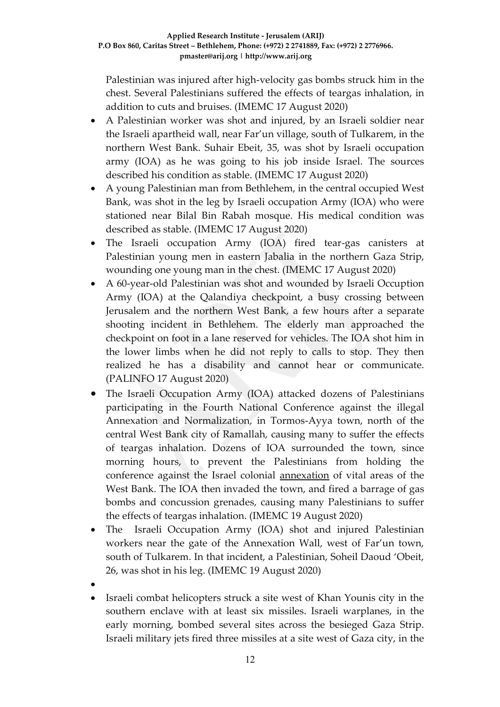Palestinian was injured after high-velocity gas bombs struck him in the chest. Several Palestinians suffered the effects of teargas inhalation, in addition to cuts and bruises. (IMEMC 17 August 2020)

- A Palestinian worker was shot and injured, by an Israeli soldier near the Israeli apartheid wall, near Far'un village, south of Tulkarem, in the northern West Bank. Suhair Ebeit, 35, was shot by Israeli occupation army (IOA) as he was going to his job inside Israel. The sources described his condition as stable. (IMEMC 17 August 2020)
- A young Palestinian man from Bethlehem, in the central occupied West Bank, was shot in the leg by Israeli occupation Army (IOA) who were stationed near Bilal Bin Rabah mosque. His medical condition was described as stable. (IMEMC 17 August 2020)
- The Israeli occupation Army (IOA) fired tear-gas canisters at Palestinian young men in eastern Jabalia in the northern Gaza Strip, wounding one young man in the chest. (IMEMC 17 August 2020)
- A 60-year-old Palestinian was shot and wounded by Israeli Occuption Army (IOA) at the Qalandiya checkpoint, a busy crossing between Jerusalem and the northern West Bank, a few hours after a separate shooting incident in Bethlehem. The elderly man approached the checkpoint on foot in a lane reserved for vehicles. The IOA shot him in the lower limbs when he did not reply to calls to stop. They then realized he has a disability and cannot hear or communicate. (PALINFO 17 August 2020)
- The Israeli Occupation Army (IOA) attacked dozens of Palestinians participating in the Fourth National Conference against the illegal Annexation and Normalization, in Tormos-Ayya town, north of the central West Bank city of Ramallah, causing many to suffer the effects of teargas inhalation. Dozens of IOA surrounded the town, since morning hours, to prevent the Palestinians from holding the conference against the Israel colonial [annexation](https://electronicintifada.net/content/how-will-annexation-change-legal-landscape-west-bank/30881) of vital areas of the West Bank. The IOA then invaded the town, and fired a barrage of gas bombs and concussion grenades, causing many Palestinians to suffer the effects of teargas inhalation. (IMEMC 19 August 2020)
- The Israeli Occupation Army (IOA) shot and injured Palestinian workers near the gate of the Annexation Wall, west of Far'un town, south of Tulkarem. In that incident, a Palestinian, Soheil Daoud 'Obeit, 26, was shot in his leg. (IMEMC 19 August 2020)
- $\bullet$
- Israeli combat helicopters struck a site west of Khan Younis city in the southern enclave with at least six missiles. Israeli warplanes, in the early morning, bombed several sites across the besieged Gaza Strip. Israeli military jets fired three missiles at a site west of Gaza city, in the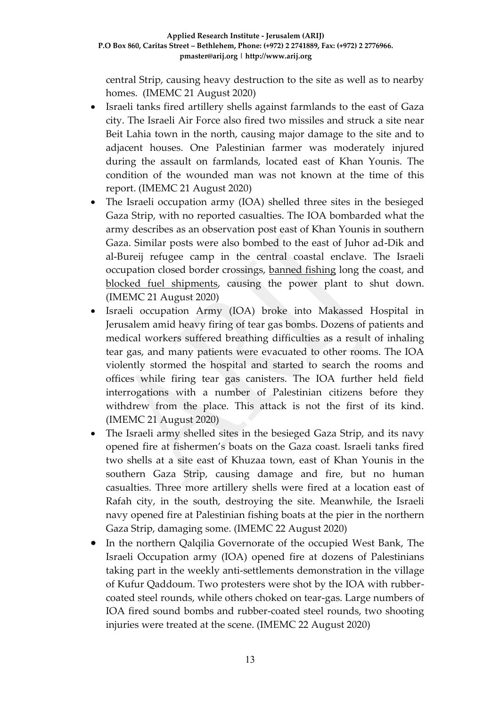central Strip, causing heavy destruction to the site as well as to nearby homes. (IMEMC 21 August 2020)

- Israeli tanks fired artillery shells against farmlands to the east of Gaza city. The Israeli Air Force also fired two missiles and struck a site near Beit Lahia town in the north, causing major damage to the site and to adjacent houses. One Palestinian farmer was moderately injured during the assault on farmlands, located east of Khan Younis. The condition of the wounded man was not known at the time of this report. (IMEMC 21 August 2020)
- The Israeli occupation army (IOA) shelled three sites in the besieged Gaza Strip, with no reported casualties. The IOA bombarded what the army describes as an observation post east of Khan Younis in southern Gaza. Similar posts were also bombed to the east of Juhor ad-Dik and al-Bureij refugee camp in the central coastal enclave. The Israeli occupation closed border crossings, [banned fishing](http://imemc.org/article/pchr-iof-tightens-gaza-strip-closure-gaza-sea-completely-closed-and-fishermen-denied-work/) long the coast, and [blocked fuel shipments,](http://imemc.org/article/gazas-only-power-plant-to-stop-production-by-tuesday/) causing the power plant to shut down. (IMEMC 21 August 2020)
- Israeli occupation Army (IOA) broke into Makassed Hospital in Jerusalem amid heavy firing of tear gas bombs. Dozens of patients and medical workers suffered breathing difficulties as a result of inhaling tear gas, and many patients were evacuated to other rooms. The IOA violently stormed the hospital and started to search the rooms and offices while firing tear gas canisters. The IOA further held field interrogations with a number of Palestinian citizens before they withdrew from the place. This attack is not the first of its kind. (IMEMC 21 August 2020)
- The Israeli army shelled sites in the besieged Gaza Strip, and its navy opened fire at fishermen's boats on the Gaza coast. Israeli tanks fired two shells at a site east of Khuzaa town, east of Khan Younis in the southern Gaza Strip, causing damage and fire, but no human casualties. Three more artillery shells were fired at a location east of Rafah city, in the south, destroying the site. Meanwhile, the Israeli navy opened fire at Palestinian fishing boats at the pier in the northern Gaza Strip, damaging some. (IMEMC 22 August 2020)
- In the northern Qalqilia Governorate of the occupied West Bank, The Israeli Occupation army (IOA) opened fire at dozens of Palestinians taking part in the weekly anti-settlements demonstration in the village of Kufur Qaddoum. Two protesters were shot by the IOA with rubbercoated steel rounds, while others choked on tear-gas. Large numbers of IOA fired sound bombs and rubber-coated steel rounds, two shooting injuries were treated at the scene. (IMEMC 22 August 2020)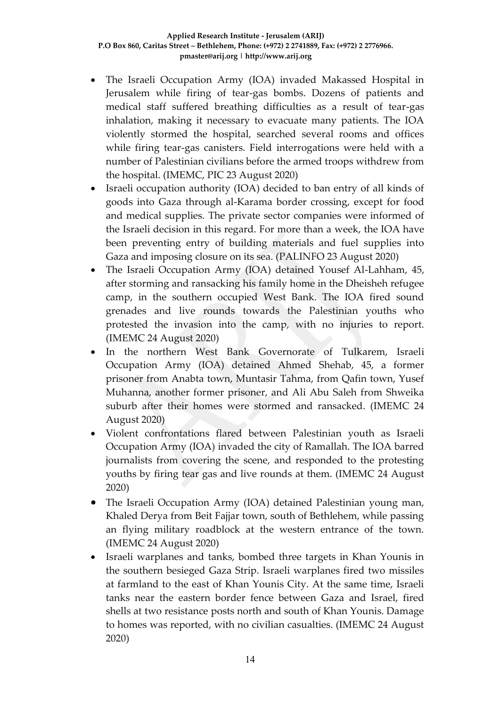- The Israeli Occupation Army (IOA) invaded Makassed Hospital in Jerusalem while firing of tear-gas bombs. Dozens of patients and medical staff suffered breathing difficulties as a result of tear-gas inhalation, making it necessary to evacuate many patients. The IOA violently stormed the hospital, searched several rooms and offices while firing tear-gas canisters. Field interrogations were held with a number of Palestinian civilians before the armed troops withdrew from the hospital. (IMEMC, PIC 23 August 2020)
- Israeli occupation authority (IOA) decided to ban entry of all kinds of goods into Gaza through al-Karama border crossing, except for food and medical supplies. The private sector companies were informed of the Israeli decision in this regard. For more than a week, the IOA have been preventing entry of building materials and fuel supplies into Gaza and imposing closure on its sea. (PALINFO 23 August 2020)
- The Israeli Occupation Army (IOA) detained Yousef Al-Lahham, 45, after storming and ransacking his family home in the Dheisheh refugee camp, in the southern occupied West Bank. The IOA fired sound grenades and live rounds towards the Palestinian youths who protested the invasion into the camp, with no injuries to report. (IMEMC 24 August 2020)
- In the northern West Bank Governorate of Tulkarem, Israeli Occupation Army (IOA) detained Ahmed Shehab, 45, a former prisoner from Anabta town, Muntasir Tahma, from Qafin town, Yusef Muhanna, another former prisoner, and Ali Abu Saleh from Shweika suburb after their homes were stormed and ransacked. (IMEMC 24 August 2020)
- Violent confrontations flared between Palestinian youth as Israeli Occupation Army (IOA) invaded the city of Ramallah. The IOA barred journalists from covering the scene, and responded to the protesting youths by firing tear gas and live rounds at them. (IMEMC 24 August 2020)
- The Israeli Occupation Army (IOA) detained Palestinian young man, Khaled Derya from Beit Fajjar town, south of Bethlehem, while passing an flying military roadblock at the western entrance of the town. (IMEMC 24 August 2020)
- Israeli warplanes and tanks, bombed three targets in Khan Younis in the southern besieged Gaza Strip. Israeli warplanes fired two missiles at farmland to the east of Khan Younis City. At the same time, Israeli tanks near the eastern border fence between Gaza and Israel, fired shells at two resistance posts north and south of Khan Younis. Damage to homes was reported, with no civilian casualties. (IMEMC 24 August 2020)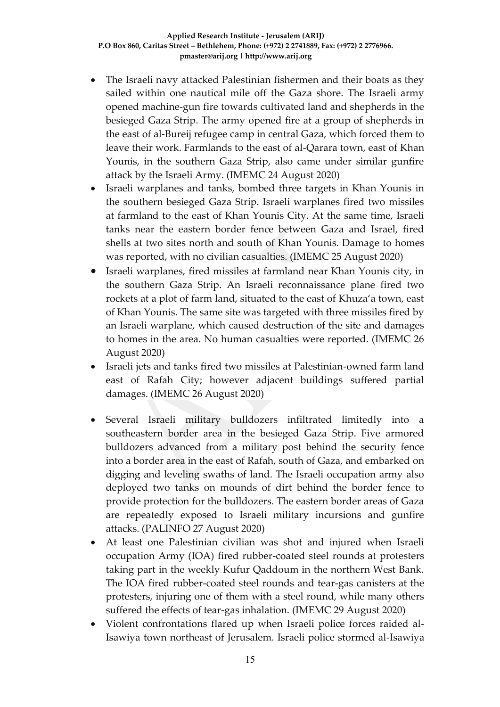- The Israeli navy attacked Palestinian fishermen and their boats as they sailed within one nautical mile off the Gaza shore. The Israeli army opened machine-gun fire towards cultivated land and shepherds in the besieged Gaza Strip. The army opened fire at a group of shepherds in the east of al-Bureij refugee camp in central Gaza, which forced them to leave their work. Farmlands to the east of al-Qarara town, east of Khan Younis, in the southern Gaza Strip, also came under similar gunfire attack by the Israeli Army. (IMEMC 24 August 2020)
- Israeli warplanes and tanks, bombed three targets in Khan Younis in the southern besieged Gaza Strip. Israeli warplanes fired two missiles at farmland to the east of Khan Younis City. At the same time, Israeli tanks near the eastern border fence between Gaza and Israel, fired shells at two sites north and south of Khan Younis. Damage to homes was reported, with no civilian casualties. (IMEMC 25 August 2020)
- Israeli warplanes, fired missiles at farmland near Khan Younis city, in the southern Gaza Strip. An Israeli reconnaissance plane fired two rockets at a plot of farm land, situated to the east of Khuza'a town, east of Khan Younis. The same site was targeted with three missiles fired by an Israeli warplane, which caused destruction of the site and damages to homes in the area. No human casualties were reported. (IMEMC 26 August 2020)
- Israeli jets and tanks fired two missiles at Palestinian-owned farm land east of Rafah City; however adjacent buildings suffered partial damages. (IMEMC 26 August 2020)
- Several Israeli military bulldozers infiltrated limitedly into a southeastern border area in the besieged Gaza Strip. Five armored bulldozers advanced from a military post behind the security fence into a border area in the east of Rafah, south of Gaza, and embarked on digging and leveling swaths of land. The Israeli occupation army also deployed two tanks on mounds of dirt behind the border fence to provide protection for the bulldozers. The eastern border areas of Gaza are repeatedly exposed to Israeli military incursions and gunfire attacks. (PALINFO 27 August 2020)
- At least one Palestinian civilian was shot and injured when Israeli occupation Army (IOA) fired rubber-coated steel rounds at protesters taking part in the weekly Kufur Qaddoum in the northern West Bank. The IOA fired rubber-coated steel rounds and tear-gas canisters at the protesters, injuring one of them with a steel round, while many others suffered the effects of tear-gas inhalation. (IMEMC 29 August 2020)
- Violent confrontations flared up when Israeli police forces raided al-Isawiya town northeast of Jerusalem. Israeli police stormed al-Isawiya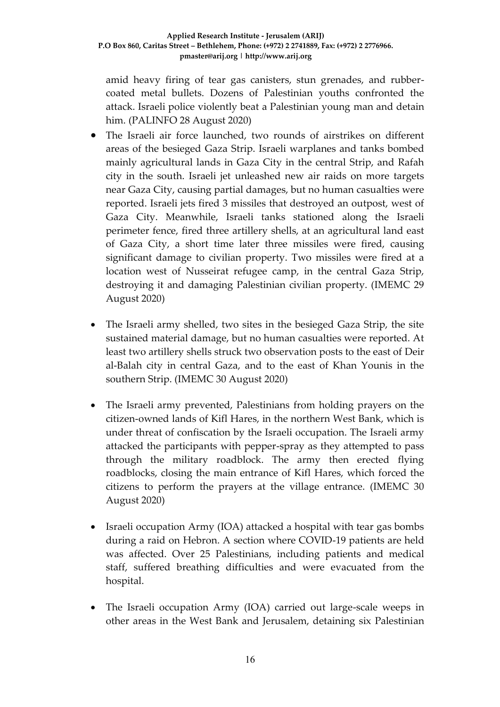amid heavy firing of tear gas canisters, stun grenades, and rubbercoated metal bullets. Dozens of Palestinian youths confronted the attack. Israeli police violently beat a Palestinian young man and detain him. (PALINFO 28 August 2020)

- The Israeli air force launched, two rounds of airstrikes on different areas of the besieged Gaza Strip. Israeli warplanes and tanks bombed mainly agricultural lands in Gaza City in the central Strip, and Rafah city in the south. Israeli jet unleashed new air raids on more targets near Gaza City, causing partial damages, but no human casualties were reported. Israeli jets fired 3 missiles that destroyed an outpost, west of Gaza City. Meanwhile, Israeli tanks stationed along the Israeli perimeter fence, fired three artillery shells, at an agricultural land east of Gaza City, a short time later three missiles were fired, causing significant damage to civilian property. Two missiles were fired at a location west of Nusseirat refugee camp, in the central Gaza Strip, destroying it and damaging Palestinian civilian property. (IMEMC 29 August 2020)
- The Israeli army shelled, two sites in the besieged Gaza Strip, the site sustained material damage, but no human casualties were reported. At least two artillery shells struck two observation posts to the east of Deir al-Balah city in central Gaza, and to the east of Khan Younis in the southern Strip. (IMEMC 30 August 2020)
- The Israeli army prevented, Palestinians from holding prayers on the citizen-owned lands of Kifl Hares, in the northern West Bank, which is under threat of confiscation by the Israeli occupation. The Israeli army attacked the participants with pepper-spray as they attempted to pass through the military roadblock. The army then erected flying roadblocks, closing the main entrance of Kifl Hares, which forced the citizens to perform the prayers at the village entrance. (IMEMC 30 August 2020)
- Israeli occupation Army (IOA) attacked a hospital with tear gas bombs during a raid on Hebron. A section where COVID-19 patients are held was affected. Over 25 Palestinians, including patients and medical staff, suffered breathing difficulties and were evacuated from the hospital.
- The Israeli occupation Army (IOA) carried out large-scale weeps in other areas in the West Bank and Jerusalem, detaining six Palestinian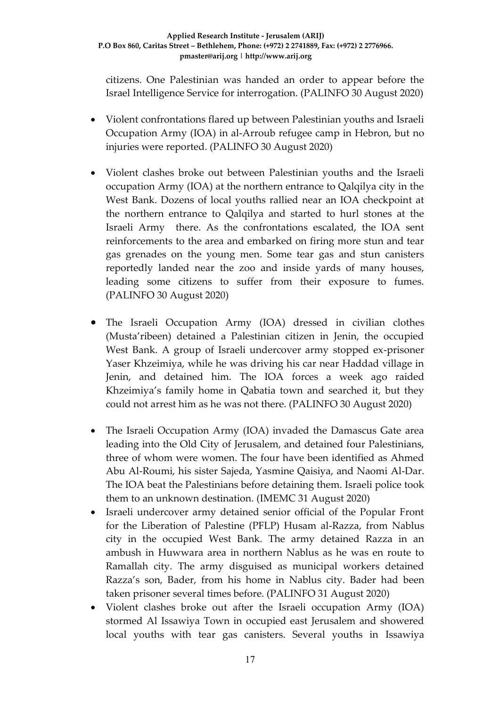citizens. One Palestinian was handed an order to appear before the Israel Intelligence Service for interrogation. (PALINFO 30 August 2020)

- Violent confrontations flared up between Palestinian youths and Israeli Occupation Army (IOA) in al-Arroub refugee camp in Hebron, but no injuries were reported. (PALINFO 30 August 2020)
- Violent clashes broke out between Palestinian youths and the Israeli occupation Army (IOA) at the northern entrance to Qalqilya city in the West Bank. Dozens of local youths rallied near an IOA checkpoint at the northern entrance to Qalqilya and started to hurl stones at the Israeli Army there. As the confrontations escalated, the IOA sent reinforcements to the area and embarked on firing more stun and tear gas grenades on the young men. Some tear gas and stun canisters reportedly landed near the zoo and inside yards of many houses, leading some citizens to suffer from their exposure to fumes. (PALINFO 30 August 2020)
- The Israeli Occupation Army (IOA) dressed in civilian clothes (Musta'ribeen) detained a Palestinian citizen in Jenin, the occupied West Bank. A group of Israeli undercover army stopped ex-prisoner Yaser Khzeimiya, while he was driving his car near Haddad village in Jenin, and detained him. The IOA forces a week ago raided Khzeimiya's family home in Qabatia town and searched it, but they could not arrest him as he was not there. (PALINFO 30 August 2020)
- The Israeli Occupation Army (IOA) invaded the Damascus Gate area leading into the Old City of Jerusalem, and detained four Palestinians, three of whom were women. The four have been identified as Ahmed Abu Al-Roumi, his sister Sajeda, Yasmine Qaisiya, and Naomi Al-Dar. The IOA beat the Palestinians before detaining them. Israeli police took them to an unknown destination. (IMEMC 31 August 2020)
- Israeli undercover army detained senior official of the Popular Front for the Liberation of Palestine (PFLP) Husam al-Razza, from Nablus city in the occupied West Bank. The army detained Razza in an ambush in Huwwara area in northern Nablus as he was en route to Ramallah city. The army disguised as municipal workers detained Razza's son, Bader, from his home in Nablus city. Bader had been taken prisoner several times before. (PALINFO 31 August 2020)
- Violent clashes broke out after the Israeli occupation Army (IOA) stormed Al Issawiya Town in occupied east Jerusalem and showered local youths with tear gas canisters. Several youths in Issawiya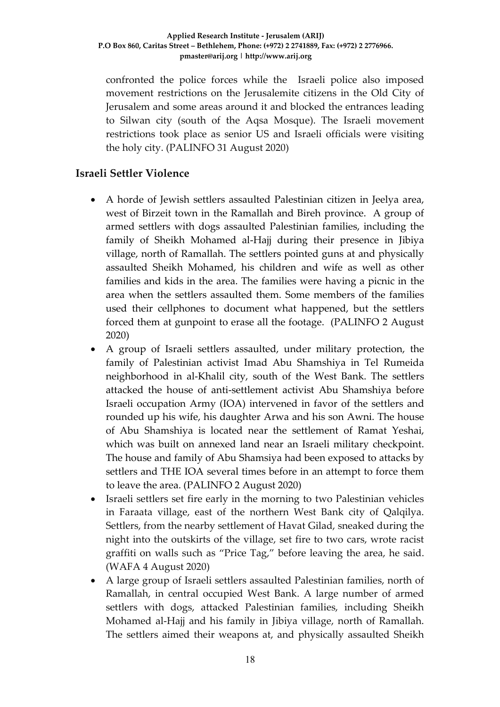#### **Applied Research Institute - Jerusalem (ARIJ) P.O Box 860, Caritas Street – Bethlehem, Phone: (+972) 2 2741889, Fax: (+972) 2 2776966. pmaster@arij.org | http://www.arij.org**

confronted the police forces while the Israeli police also imposed movement restrictions on the Jerusalemite citizens in the Old City of Jerusalem and some areas around it and blocked the entrances leading to Silwan city (south of the Aqsa Mosque). The Israeli movement restrictions took place as senior US and Israeli officials were visiting the holy city. (PALINFO 31 August 2020)

#### **Israeli Settler Violence**

- A horde of Jewish settlers assaulted Palestinian citizen in Jeelya area, west of Birzeit town in the Ramallah and Bireh province. A group of armed settlers with dogs assaulted Palestinian families, including the family of Sheikh Mohamed al-Hajj during their presence in Jibiya village, north of Ramallah. The settlers pointed guns at and physically assaulted Sheikh Mohamed, his children and wife as well as other families and kids in the area. The families were having a picnic in the area when the settlers assaulted them. Some members of the families used their cellphones to document what happened, but the settlers forced them at gunpoint to erase all the footage. (PALINFO 2 August 2020)
- A group of Israeli settlers assaulted, under military protection, the family of Palestinian activist Imad Abu Shamshiya in Tel Rumeida neighborhood in al-Khalil city, south of the West Bank. The settlers attacked the house of anti-settlement activist Abu Shamshiya before Israeli occupation Army (IOA) intervened in favor of the settlers and rounded up his wife, his daughter Arwa and his son Awni. The house of Abu Shamshiya is located near the settlement of Ramat Yeshai, which was built on annexed land near an Israeli military checkpoint. The house and family of Abu Shamsiya had been exposed to attacks by settlers and THE IOA several times before in an attempt to force them to leave the area. (PALINFO 2 August 2020)
- Israeli settlers set fire early in the morning to two Palestinian vehicles in Faraata village, east of the northern West Bank city of Qalqilya. Settlers, from the nearby settlement of Havat Gilad, sneaked during the night into the outskirts of the village, set fire to two cars, wrote racist graffiti on walls such as "Price Tag," before leaving the area, he said. (WAFA 4 August 2020)
- A large group of Israeli settlers assaulted Palestinian families, north of Ramallah, in central occupied West Bank. A large number of armed settlers with dogs, attacked Palestinian families, including Sheikh Mohamed al-Hajj and his family in Jibiya village, north of Ramallah. The settlers aimed their weapons at, and physically assaulted Sheikh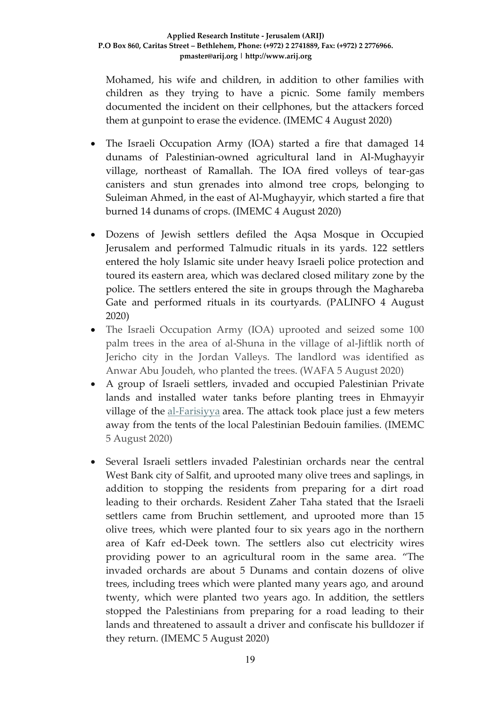Mohamed, his wife and children, in addition to other families with children as they trying to have a picnic. Some family members documented the incident on their cellphones, but the attackers forced them at gunpoint to erase the evidence. (IMEMC 4 August 2020)

- The Israeli Occupation Army (IOA) started a fire that damaged 14 dunams of Palestinian-owned agricultural land in Al-Mughayyir village, northeast of Ramallah. The IOA fired volleys of tear-gas canisters and stun grenades into almond tree crops, belonging to Suleiman Ahmed, in the east of Al-Mughayyir, which started a fire that burned 14 dunams of crops. (IMEMC 4 August 2020)
- Dozens of Jewish settlers defiled the Aqsa Mosque in Occupied Jerusalem and performed Talmudic rituals in its yards. 122 settlers entered the holy Islamic site under heavy Israeli police protection and toured its eastern area, which was declared closed military zone by the police. The settlers entered the site in groups through the Maghareba Gate and performed rituals in its courtyards. (PALINFO 4 August 2020)
- The Israeli Occupation Army (IOA) uprooted and seized some 100 palm trees in the area of al-Shuna in the village of al-Jiftlik north of Jericho city in the Jordan Valleys. The landlord was identified as Anwar Abu Joudeh, who planted the trees. (WAFA 5 August 2020)
- A group of Israeli settlers, invaded and occupied Palestinian Private lands and installed water tanks before planting trees in Ehmayyir village of the [al-Farisiyya](https://imemc.org/?s=al-Farisiyya) area. The attack took place just a few meters away from the tents of the local Palestinian Bedouin families. (IMEMC 5 August 2020)
- Several Israeli settlers invaded Palestinian orchards near the central West Bank city of Salfit, and uprooted many olive trees and saplings, in addition to stopping the residents from preparing for a dirt road leading to their orchards. Resident Zaher Taha stated that the Israeli settlers came from Bruchin settlement, and uprooted more than 15 olive trees, which were planted four to six years ago in the northern area of Kafr ed-Deek town. The settlers also cut electricity wires providing power to an agricultural room in the same area. "The invaded orchards are about 5 Dunams and contain dozens of olive trees, including trees which were planted many years ago, and around twenty, which were planted two years ago. In addition, the settlers stopped the Palestinians from preparing for a road leading to their lands and threatened to assault a driver and confiscate his bulldozer if they return. (IMEMC 5 August 2020)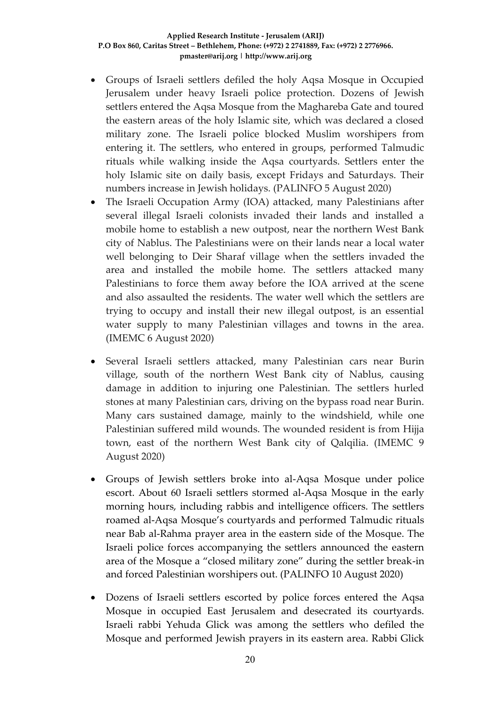- Groups of Israeli settlers defiled the holy Aqsa Mosque in Occupied Jerusalem under heavy Israeli police protection. Dozens of Jewish settlers entered the Aqsa Mosque from the Maghareba Gate and toured the eastern areas of the holy Islamic site, which was declared a closed military zone. The Israeli police blocked Muslim worshipers from entering it. The settlers, who entered in groups, performed Talmudic rituals while walking inside the Aqsa courtyards. Settlers enter the holy Islamic site on daily basis, except Fridays and Saturdays. Their numbers increase in Jewish holidays. (PALINFO 5 August 2020)
- The Israeli Occupation Army (IOA) attacked, many Palestinians after several illegal Israeli colonists invaded their lands and installed a mobile home to establish a new outpost, near the northern West Bank city of Nablus. The Palestinians were on their lands near a local water well belonging to Deir Sharaf village when the settlers invaded the area and installed the mobile home. The settlers attacked many Palestinians to force them away before the IOA arrived at the scene and also assaulted the residents. The water well which the settlers are trying to occupy and install their new illegal outpost, is an essential water supply to many Palestinian villages and towns in the area. (IMEMC 6 August 2020)
- Several Israeli settlers attacked, many Palestinian cars near Burin village, south of the northern West Bank city of Nablus, causing damage in addition to injuring one Palestinian. The settlers hurled stones at many Palestinian cars, driving on the bypass road near Burin. Many cars sustained damage, mainly to the windshield, while one Palestinian suffered mild wounds. The wounded resident is from Hijja town, east of the northern West Bank city of Qalqilia. (IMEMC 9 August 2020)
- Groups of Jewish settlers broke into al-Aqsa Mosque under police escort. About 60 Israeli settlers stormed al-Aqsa Mosque in the early morning hours, including rabbis and intelligence officers. The settlers roamed al-Aqsa Mosque's courtyards and performed Talmudic rituals near Bab al-Rahma prayer area in the eastern side of the Mosque. The Israeli police forces accompanying the settlers announced the eastern area of the Mosque a "closed military zone" during the settler break-in and forced Palestinian worshipers out. (PALINFO 10 August 2020)
- Dozens of Israeli settlers escorted by police forces entered the Aqsa Mosque in occupied East Jerusalem and desecrated its courtyards. Israeli rabbi Yehuda Glick was among the settlers who defiled the Mosque and performed Jewish prayers in its eastern area. Rabbi Glick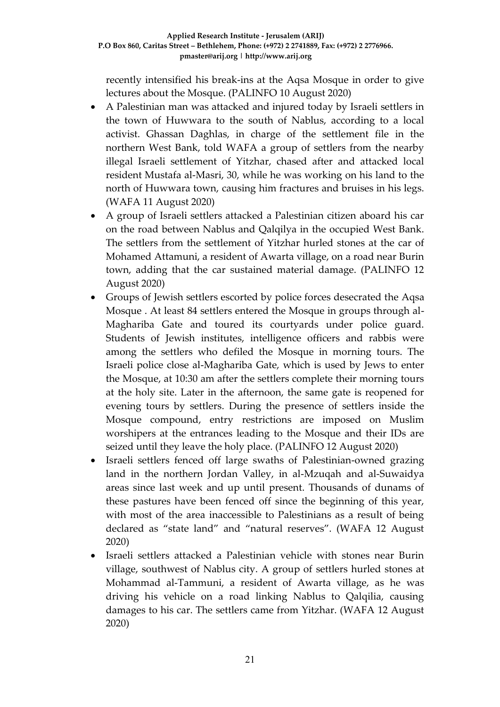recently intensified his break-ins at the Aqsa Mosque in order to give lectures about the Mosque. (PALINFO 10 August 2020)

- A Palestinian man was attacked and injured today by Israeli settlers in the town of Huwwara to the south of Nablus, according to a local activist. Ghassan Daghlas, in charge of the settlement file in the northern West Bank, told WAFA a group of settlers from the nearby illegal Israeli settlement of Yitzhar, chased after and attacked local resident Mustafa al-Masri, 30, while he was working on his land to the north of Huwwara town, causing him fractures and bruises in his legs. (WAFA 11 August 2020)
- A group of Israeli settlers attacked a Palestinian citizen aboard his car on the road between Nablus and Qalqilya in the occupied West Bank. The settlers from the settlement of Yitzhar hurled stones at the car of Mohamed Attamuni, a resident of Awarta village, on a road near Burin town, adding that the car sustained material damage. (PALINFO 12 August 2020)
- Groups of Jewish settlers escorted by police forces desecrated the Aqsa Mosque . At least 84 settlers entered the Mosque in groups through al-Maghariba Gate and toured its courtyards under police guard. Students of Jewish institutes, intelligence officers and rabbis were among the settlers who defiled the Mosque in morning tours. The Israeli police close al-Maghariba Gate, which is used by Jews to enter the Mosque, at 10:30 am after the settlers complete their morning tours at the holy site. Later in the afternoon, the same gate is reopened for evening tours by settlers. During the presence of settlers inside the Mosque compound, entry restrictions are imposed on Muslim worshipers at the entrances leading to the Mosque and their IDs are seized until they leave the holy place. (PALINFO 12 August 2020)
- Israeli settlers fenced off large swaths of Palestinian-owned grazing land in the northern Jordan Valley, in al-Mzuqah and al-Suwaidya areas since last week and up until present. Thousands of dunams of these pastures have been fenced off since the beginning of this year, with most of the area inaccessible to Palestinians as a result of being declared as "state land" and "natural reserves". (WAFA 12 August 2020)
- Israeli settlers attacked a Palestinian vehicle with stones near Burin village, southwest of Nablus city. A group of settlers hurled stones at Mohammad al-Tammuni, a resident of Awarta village, as he was driving his vehicle on a road linking Nablus to Qalqilia, causing damages to his car. The settlers came from Yitzhar. (WAFA 12 August 2020)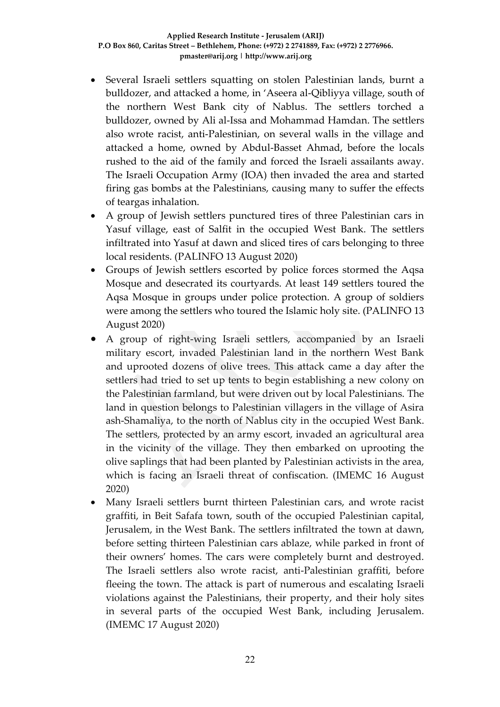- Several Israeli settlers squatting on stolen Palestinian lands, burnt a bulldozer, and attacked a home, in 'Aseera al-Qibliyya village, south of the northern West Bank city of Nablus. The settlers torched a bulldozer, owned by Ali al-Issa and Mohammad Hamdan. The settlers also wrote racist, anti-Palestinian, on several walls in the village and attacked a home, owned by Abdul-Basset Ahmad, before the locals rushed to the aid of the family and forced the Israeli assailants away. The Israeli Occupation Army (IOA) then invaded the area and started firing gas bombs at the Palestinians, causing many to suffer the effects of teargas inhalation.
- A group of Jewish settlers punctured tires of three Palestinian cars in Yasuf village, east of Salfit in the occupied West Bank. The settlers infiltrated into Yasuf at dawn and sliced tires of cars belonging to three local residents. (PALINFO 13 August 2020)
- Groups of Jewish settlers escorted by police forces stormed the Aqsa Mosque and desecrated its courtyards. At least 149 settlers toured the Aqsa Mosque in groups under police protection. A group of soldiers were among the settlers who toured the Islamic holy site. (PALINFO 13 August 2020)
- A group of right-wing Israeli settlers, accompanied by an Israeli military escort, invaded Palestinian land in the northern West Bank and uprooted dozens of olive trees. This attack came a day after the settlers had tried to set up tents to begin establishing a new colony on the Palestinian farmland, but were driven out by local Palestinians. The land in question belongs to Palestinian villagers in the village of Asira ash-Shamaliya, to the north of Nablus city in the occupied West Bank. The settlers, protected by an army escort, invaded an agricultural area in the vicinity of the village. They then embarked on uprooting the olive saplings that had been planted by Palestinian activists in the area, which is facing an Israeli threat of confiscation. (IMEMC 16 August 2020)
- Many Israeli settlers burnt thirteen Palestinian cars, and wrote racist graffiti, in Beit Safafa town, south of the occupied Palestinian capital, Jerusalem, in the West Bank. The settlers infiltrated the town at dawn, before setting thirteen Palestinian cars ablaze, while parked in front of their owners' homes. The cars were completely burnt and destroyed. The Israeli settlers also wrote racist, anti-Palestinian graffiti, before fleeing the town. The attack is part of numerous and escalating Israeli violations against the Palestinians, their property, and their holy sites in several parts of the occupied West Bank, including Jerusalem. (IMEMC 17 August 2020)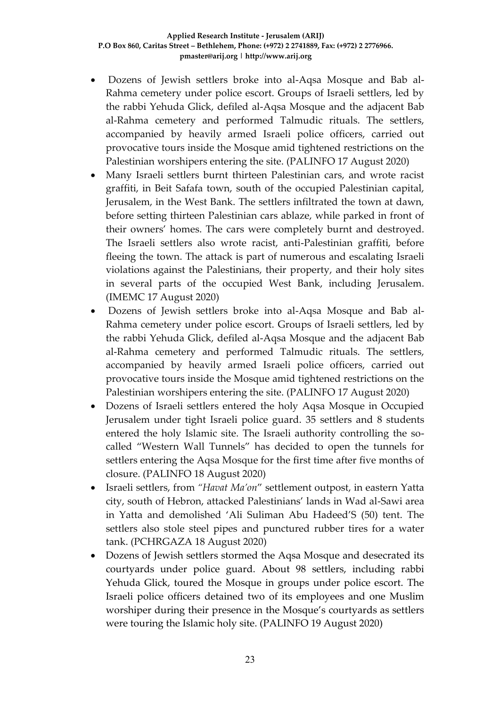- Dozens of Jewish settlers broke into al-Aqsa Mosque and Bab al-Rahma cemetery under police escort. Groups of Israeli settlers, led by the rabbi Yehuda Glick, defiled al-Aqsa Mosque and the adjacent Bab al-Rahma cemetery and performed Talmudic rituals. The settlers, accompanied by heavily armed Israeli police officers, carried out provocative tours inside the Mosque amid tightened restrictions on the Palestinian worshipers entering the site. (PALINFO 17 August 2020)
- Many Israeli settlers burnt thirteen Palestinian cars, and wrote racist graffiti, in Beit Safafa town, south of the occupied Palestinian capital, Jerusalem, in the West Bank. The settlers infiltrated the town at dawn, before setting thirteen Palestinian cars ablaze, while parked in front of their owners' homes. The cars were completely burnt and destroyed. The Israeli settlers also wrote racist, anti-Palestinian graffiti, before fleeing the town. The attack is part of numerous and escalating Israeli violations against the Palestinians, their property, and their holy sites in several parts of the occupied West Bank, including Jerusalem. (IMEMC 17 August 2020)
- Dozens of Jewish settlers broke into al-Aqsa Mosque and Bab al-Rahma cemetery under police escort. Groups of Israeli settlers, led by the rabbi Yehuda Glick, defiled al-Aqsa Mosque and the adjacent Bab al-Rahma cemetery and performed Talmudic rituals. The settlers, accompanied by heavily armed Israeli police officers, carried out provocative tours inside the Mosque amid tightened restrictions on the Palestinian worshipers entering the site. (PALINFO 17 August 2020)
- Dozens of Israeli settlers entered the holy Aqsa Mosque in Occupied Jerusalem under tight Israeli police guard. 35 settlers and 8 students entered the holy Islamic site. The Israeli authority controlling the socalled "Western Wall Tunnels" has decided to open the tunnels for settlers entering the Aqsa Mosque for the first time after five months of closure. (PALINFO 18 August 2020)
- Israeli settlers, from *"Havat Ma'on*" settlement outpost, in eastern Yatta city, south of Hebron, attacked Palestinians' lands in Wad al-Sawi area in Yatta and demolished 'Ali Suliman Abu Hadeed'S (50) tent. The settlers also stole steel pipes and punctured rubber tires for a water tank. (PCHRGAZA 18 August 2020)
- Dozens of Jewish settlers stormed the Aqsa Mosque and desecrated its courtyards under police guard. About 98 settlers, including rabbi Yehuda Glick, toured the Mosque in groups under police escort. The Israeli police officers detained two of its employees and one Muslim worshiper during their presence in the Mosque's courtyards as settlers were touring the Islamic holy site. (PALINFO 19 August 2020)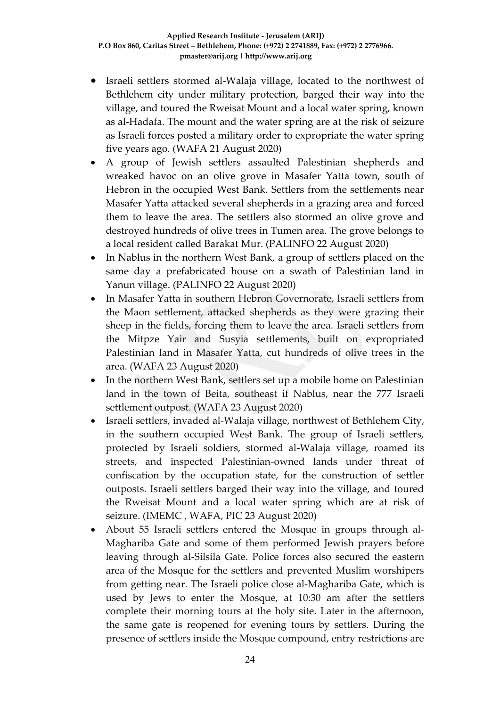- Israeli settlers stormed al-Walaja village, located to the northwest of Bethlehem city under military protection, barged their way into the village, and toured the Rweisat Mount and a local water spring, known as al-Hadafa. The mount and the water spring are at the risk of seizure as Israeli forces posted a military order to expropriate the water spring five years ago. (WAFA 21 August 2020)
- A group of Jewish settlers assaulted Palestinian shepherds and wreaked havoc on an olive grove in Masafer Yatta town, south of Hebron in the occupied West Bank. Settlers from the settlements near Masafer Yatta attacked several shepherds in a grazing area and forced them to leave the area. The settlers also stormed an olive grove and destroyed hundreds of olive trees in Tumen area. The grove belongs to a local resident called Barakat Mur. (PALINFO 22 August 2020)
- In Nablus in the northern West Bank, a group of settlers placed on the same day a prefabricated house on a swath of Palestinian land in Yanun village. (PALINFO 22 August 2020)
- In Masafer Yatta in southern Hebron Governorate, Israeli settlers from the Maon settlement, attacked shepherds as they were grazing their sheep in the fields, forcing them to leave the area. Israeli settlers from the Mitpze Yair and Susyia settlements, built on expropriated Palestinian land in Masafer Yatta, cut hundreds of olive trees in the area. (WAFA 23 August 2020)
- In the northern West Bank, settlers set up a mobile home on Palestinian land in the town of Beita, southeast if Nablus, near the 777 Israeli settlement outpost. (WAFA 23 August 2020)
- Israeli settlers, invaded al-Walaja village, northwest of Bethlehem City, in the southern occupied West Bank. The group of Israeli settlers, protected by Israeli soldiers, stormed al-Walaja village, roamed its streets, and inspected Palestinian-owned lands under threat of confiscation by the occupation state, for the construction of settler outposts. Israeli settlers barged their way into the village, and toured the Rweisat Mount and a local water spring which are at risk of seizure. (IMEMC , WAFA, PIC 23 August 2020)
- About 55 Israeli settlers entered the Mosque in groups through al-Maghariba Gate and some of them performed Jewish prayers before leaving through al-Silsila Gate. Police forces also secured the eastern area of the Mosque for the settlers and prevented Muslim worshipers from getting near. The Israeli police close al-Maghariba Gate, which is used by Jews to enter the Mosque, at 10:30 am after the settlers complete their morning tours at the holy site. Later in the afternoon, the same gate is reopened for evening tours by settlers. During the presence of settlers inside the Mosque compound, entry restrictions are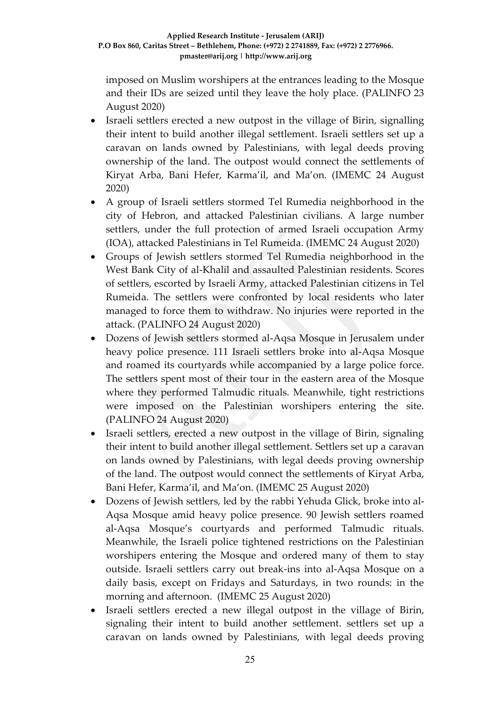imposed on Muslim worshipers at the entrances leading to the Mosque and their IDs are seized until they leave the holy place. (PALINFO 23 August 2020)

- Israeli settlers erected a new outpost in the village of Birin, signalling their intent to build another illegal settlement. Israeli settlers set up a caravan on lands owned by Palestinians, with legal deeds proving ownership of the land. The outpost would connect the settlements of Kiryat Arba, Bani Hefer, Karma'il, and Ma'on. (IMEMC 24 August 2020)
- A group of Israeli settlers stormed Tel Rumedia neighborhood in the city of Hebron, and attacked Palestinian civilians. A large number settlers, under the full protection of armed Israeli occupation Army (IOA), attacked Palestinians in Tel Rumeida. (IMEMC 24 August 2020)
- Groups of Jewish settlers stormed Tel Rumedia neighborhood in the West Bank City of al-Khalil and assaulted Palestinian residents. Scores of settlers, escorted by Israeli Army, attacked Palestinian citizens in Tel Rumeida. The settlers were confronted by local residents who later managed to force them to withdraw. No injuries were reported in the attack. (PALINFO 24 August 2020)
- Dozens of Jewish settlers stormed al-Aqsa Mosque in Jerusalem under heavy police presence. 111 Israeli settlers broke into al-Aqsa Mosque and roamed its courtyards while accompanied by a large police force. The settlers spent most of their tour in the eastern area of the Mosque where they performed Talmudic rituals. Meanwhile, tight restrictions were imposed on the Palestinian worshipers entering the site. (PALINFO 24 August 2020)
- Israeli settlers, erected a new outpost in the village of Birin, signaling their intent to build another illegal settlement. Settlers set up a caravan on lands owned by Palestinians, with legal deeds proving ownership of the land. The outpost would connect the settlements of Kiryat Arba, Bani Hefer, Karma'il, and Ma'on. (IMEMC 25 August 2020)
- Dozens of Jewish settlers, led by the rabbi Yehuda Glick, broke into al-Aqsa Mosque amid heavy police presence. 90 Jewish settlers roamed al-Aqsa Mosque's courtyards and performed Talmudic rituals. Meanwhile, the Israeli police tightened restrictions on the Palestinian worshipers entering the Mosque and ordered many of them to stay outside. Israeli settlers carry out break-ins into al-Aqsa Mosque on a daily basis, except on Fridays and Saturdays, in two rounds: in the morning and afternoon. (IMEMC 25 August 2020)
- Israeli settlers erected a new illegal outpost in the village of Birin, signaling their intent to build another settlement. settlers set up a caravan on lands owned by Palestinians, with legal deeds proving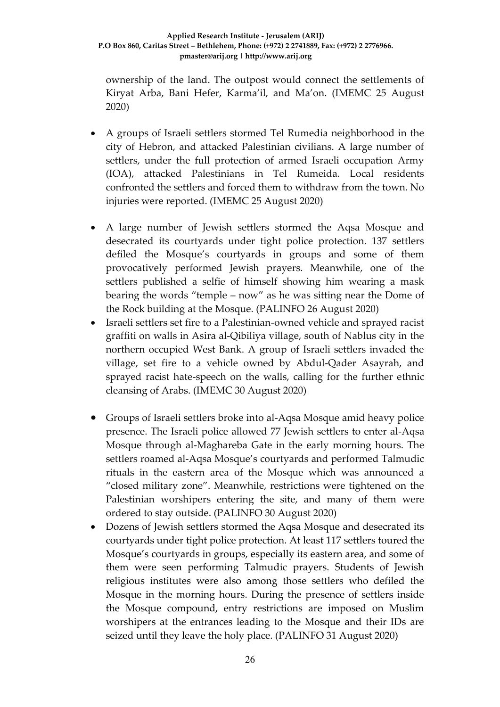ownership of the land. The outpost would connect the settlements of Kiryat Arba, Bani Hefer, Karma'il, and Ma'on. (IMEMC 25 August 2020)

- A groups of Israeli settlers stormed Tel Rumedia neighborhood in the city of Hebron, and attacked Palestinian civilians. A large number of settlers, under the full protection of armed Israeli occupation Army (IOA), attacked Palestinians in Tel Rumeida. Local residents confronted the settlers and forced them to withdraw from the town. No injuries were reported. (IMEMC 25 August 2020)
- A large number of Jewish settlers stormed the Aqsa Mosque and desecrated its courtyards under tight police protection. 137 settlers defiled the Mosque's courtyards in groups and some of them provocatively performed Jewish prayers. Meanwhile, one of the settlers published a selfie of himself showing him wearing a mask bearing the words "temple – now" as he was sitting near the Dome of the Rock building at the Mosque. (PALINFO 26 August 2020)
- Israeli settlers set fire to a Palestinian-owned vehicle and sprayed racist graffiti on walls in Asira al-Qibiliya village, south of Nablus city in the northern occupied West Bank. A group of Israeli settlers invaded the village, set fire to a vehicle owned by Abdul-Qader Asayrah, and sprayed racist hate-speech on the walls, calling for the further ethnic cleansing of Arabs. (IMEMC 30 August 2020)
- Groups of Israeli settlers broke into al-Aqsa Mosque amid heavy police presence. The Israeli police allowed 77 Jewish settlers to enter al-Aqsa Mosque through al-Maghareba Gate in the early morning hours. The settlers roamed al-Aqsa Mosque's courtyards and performed Talmudic rituals in the eastern area of the Mosque which was announced a "closed military zone". Meanwhile, restrictions were tightened on the Palestinian worshipers entering the site, and many of them were ordered to stay outside. (PALINFO 30 August 2020)
- Dozens of Jewish settlers stormed the Aqsa Mosque and desecrated its courtyards under tight police protection. At least 117 settlers toured the Mosque's courtyards in groups, especially its eastern area, and some of them were seen performing Talmudic prayers. Students of Jewish religious institutes were also among those settlers who defiled the Mosque in the morning hours. During the presence of settlers inside the Mosque compound, entry restrictions are imposed on Muslim worshipers at the entrances leading to the Mosque and their IDs are seized until they leave the holy place. (PALINFO 31 August 2020)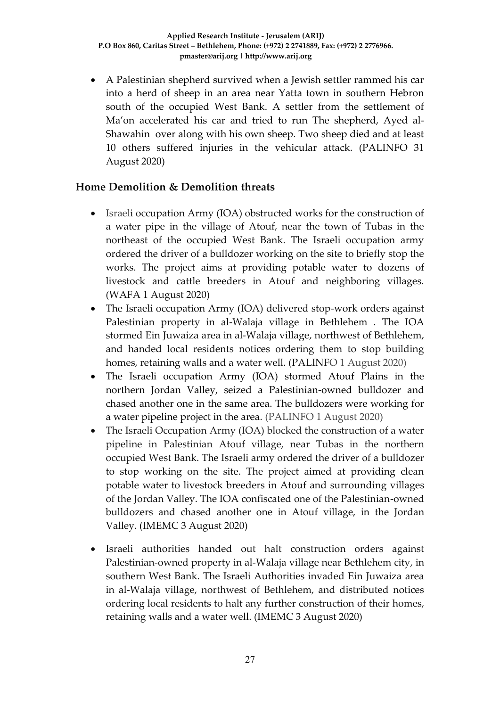A Palestinian shepherd survived when a Jewish settler rammed his car into a herd of sheep in an area near Yatta town in southern Hebron south of the occupied West Bank. A settler from the settlement of Ma'on accelerated his car and tried to run The shepherd, Ayed al-Shawahin over along with his own sheep. Two sheep died and at least 10 others suffered injuries in the vehicular attack. (PALINFO 31 August 2020)

### **Home Demolition & Demolition threats**

- Israeli occupation Army (IOA) obstructed works for the construction of a water pipe in the village of Atouf, near the town of Tubas in the northeast of the occupied West Bank. The Israeli occupation army ordered the driver of a bulldozer working on the site to briefly stop the works. The project aims at providing potable water to dozens of livestock and cattle breeders in Atouf and neighboring villages. (WAFA 1 August 2020)
- The Israeli occupation Army (IOA) delivered stop-work orders against Palestinian property in al-Walaja village in Bethlehem . The IOA stormed Ein Juwaiza area in al-Walaja village, northwest of Bethlehem, and handed local residents notices ordering them to stop building homes, retaining walls and a water well. (PALINFO 1 August 2020)
- The Israeli occupation Army (IOA) stormed Atouf Plains in the northern Jordan Valley, seized a Palestinian-owned bulldozer and chased another one in the same area. The bulldozers were working for a water pipeline project in the area. (PALINFO 1 August 2020)
- The Israeli Occupation Army (IOA) blocked the construction of a water pipeline in Palestinian Atouf village, near Tubas in the northern occupied West Bank. The Israeli army ordered the driver of a bulldozer to stop working on the site. The project aimed at providing clean potable water to livestock breeders in Atouf and surrounding villages of the Jordan Valley. The IOA confiscated one of the Palestinian-owned bulldozers and chased another one in Atouf village, in the Jordan Valley. (IMEMC 3 August 2020)
- Israeli authorities handed out halt construction orders against Palestinian-owned property in al-Walaja village near Bethlehem city, in southern West Bank. The Israeli Authorities invaded Ein Juwaiza area in al-Walaja village, northwest of Bethlehem, and distributed notices ordering local residents to halt any further construction of their homes, retaining walls and a water well. (IMEMC 3 August 2020)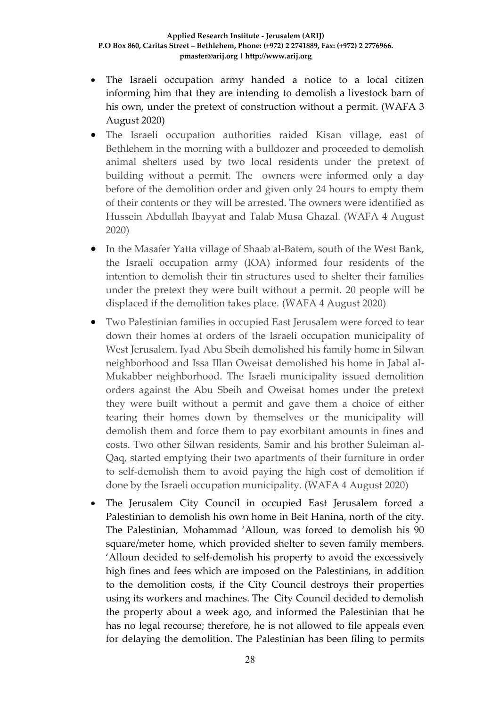- The Israeli occupation army handed a notice to a local citizen informing him that they are intending to demolish a livestock barn of his own, under the pretext of construction without a permit. (WAFA 3 August 2020)
- The Israeli occupation authorities raided Kisan village, east of Bethlehem in the morning with a bulldozer and proceeded to demolish animal shelters used by two local residents under the pretext of building without a permit. The owners were informed only a day before of the demolition order and given only 24 hours to empty them of their contents or they will be arrested. The owners were identified as Hussein Abdullah Ibayyat and Talab Musa Ghazal. (WAFA 4 August 2020)
- In the Masafer Yatta village of Shaab al-Batem, south of the West Bank, the Israeli occupation army (IOA) informed four residents of the intention to demolish their tin structures used to shelter their families under the pretext they were built without a permit. 20 people will be displaced if the demolition takes place. (WAFA 4 August 2020)
- Two Palestinian families in occupied East Jerusalem were forced to tear down their homes at orders of the Israeli occupation municipality of West Jerusalem. Iyad Abu Sbeih demolished his family home in Silwan neighborhood and Issa Illan Oweisat demolished his home in Jabal al-Mukabber neighborhood. The Israeli municipality issued demolition orders against the Abu Sbeih and Oweisat homes under the pretext they were built without a permit and gave them a choice of either tearing their homes down by themselves or the municipality will demolish them and force them to pay exorbitant amounts in fines and costs. Two other Silwan residents, Samir and his brother Suleiman al-Qaq, started emptying their two apartments of their furniture in order to self-demolish them to avoid paying the high cost of demolition if done by the Israeli occupation municipality. (WAFA 4 August 2020)
- The Jerusalem City Council in occupied East Jerusalem forced a Palestinian to demolish his own home in Beit Hanina, north of the city. The Palestinian, Mohammad 'Alloun, was forced to demolish his 90 square/meter home, which provided shelter to seven family members. 'Alloun decided to self-demolish his property to avoid the excessively high fines and fees which are imposed on the Palestinians, in addition to the demolition costs, if the City Council destroys their properties using its workers and machines. The City Council decided to demolish the property about a week ago, and informed the Palestinian that he has no legal recourse; therefore, he is not allowed to file appeals even for delaying the demolition. The Palestinian has been filing to permits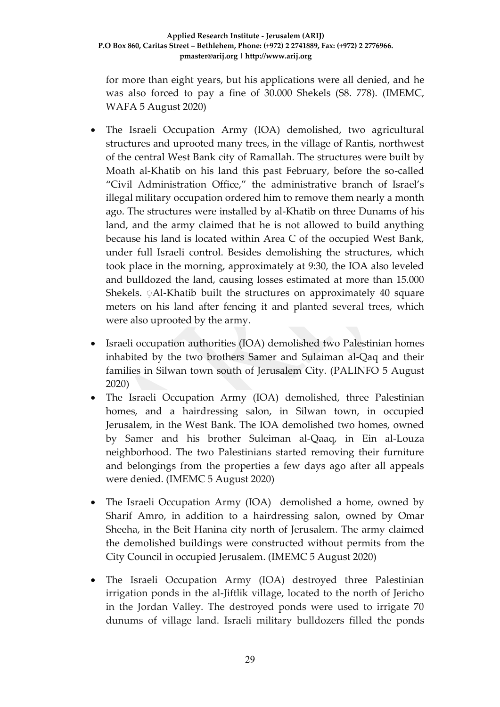for more than eight years, but his applications were all denied, and he was also forced to pay a fine of 30.000 Shekels (S8. 778). (IMEMC, WAFA 5 August 2020)

- The Israeli Occupation Army (IOA) demolished, two agricultural structures and uprooted many trees, in the village of Rantis, northwest of the central West Bank city of Ramallah. The structures were built by Moath al-Khatib on his land this past February, before the so-called "Civil Administration Office," the administrative branch of Israel's illegal military occupation ordered him to remove them nearly a month ago. The structures were installed by al-Khatib on three Dunams of his land, and the army claimed that he is not allowed to build anything because his land is located within Area C of the occupied West Bank, under full Israeli control. Besides demolishing the structures, which took place in the morning, approximately at 9:30, the IOA also leveled and bulldozed the land, causing losses estimated at more than 15.000 Shekels. Al-Khatib built the structures on approximately 40 square meters on his land after fencing it and planted several trees, which were also uprooted by the army.
- Israeli occupation authorities (IOA) demolished two Palestinian homes inhabited by the two brothers Samer and Sulaiman al-Qaq and their families in Silwan town south of Jerusalem City. (PALINFO 5 August 2020)
- The Israeli Occupation Army (IOA) demolished, three Palestinian homes, and a hairdressing salon, in Silwan town, in occupied Jerusalem, in the West Bank. The IOA demolished two homes, owned by Samer and his brother Suleiman al-Qaaq, in Ein al-Louza neighborhood. The two Palestinians started removing their furniture and belongings from the properties a few days ago after all appeals were denied. (IMEMC 5 August 2020)
- The Israeli Occupation Army (IOA) demolished a home, owned by Sharif Amro, in addition to a hairdressing salon, owned by Omar Sheeha, in the Beit Hanina city north of Jerusalem. The army claimed the demolished buildings were constructed without permits from the City Council in occupied Jerusalem. (IMEMC 5 August 2020)
- The Israeli Occupation Army (IOA) destroyed three Palestinian irrigation ponds in the al-Jiftlik village, located to the north of Jericho in the Jordan Valley. The destroyed ponds were used to irrigate 70 dunums of village land. Israeli military bulldozers filled the ponds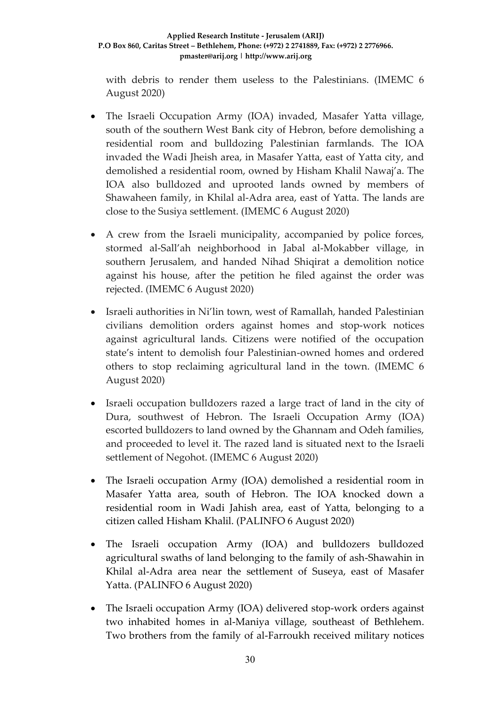#### **Applied Research Institute - Jerusalem (ARIJ) P.O Box 860, Caritas Street – Bethlehem, Phone: (+972) 2 2741889, Fax: (+972) 2 2776966. pmaster@arij.org | http://www.arij.org**

with debris to render them useless to the Palestinians. (IMEMC 6 August 2020)

- The Israeli Occupation Army (IOA) invaded, Masafer Yatta village, south of the southern West Bank city of Hebron, before demolishing a residential room and bulldozing Palestinian farmlands. The IOA invaded the Wadi Jheish area, in Masafer Yatta, east of Yatta city, and demolished a residential room, owned by Hisham Khalil Nawaj'a. The IOA also bulldozed and uprooted lands owned by members of Shawaheen family, in Khilal al-Adra area, east of Yatta. The lands are close to the Susiya settlement. (IMEMC 6 August 2020)
- A crew from the Israeli municipality, accompanied by police forces, stormed al-Sall'ah neighborhood in Jabal al-Mokabber village, in southern Jerusalem, and handed Nihad Shiqirat a demolition notice against his house, after the petition he filed against the order was rejected. (IMEMC 6 August 2020)
- Israeli authorities in Ni'lin town, west of Ramallah, handed Palestinian civilians demolition orders against homes and stop-work notices against agricultural lands. Citizens were notified of the occupation state's intent to demolish four Palestinian-owned homes and ordered others to stop reclaiming agricultural land in the town. (IMEMC 6 August 2020)
- Israeli occupation bulldozers razed a large tract of land in the city of Dura, southwest of Hebron. The Israeli Occupation Army (IOA) escorted bulldozers to land owned by the Ghannam and Odeh families, and proceeded to level it. The razed land is situated next to the Israeli settlement of Negohot. (IMEMC 6 August 2020)
- The Israeli occupation Army (IOA) demolished a residential room in Masafer Yatta area, south of Hebron. The IOA knocked down a residential room in Wadi Jahish area, east of Yatta, belonging to a citizen called Hisham Khalil. (PALINFO 6 August 2020)
- The Israeli occupation Army (IOA) and bulldozers bulldozed agricultural swaths of land belonging to the family of ash-Shawahin in Khilal al-Adra area near the settlement of Suseya, east of Masafer Yatta. (PALINFO 6 August 2020)
- The Israeli occupation Army (IOA) delivered stop-work orders against two inhabited homes in al-Maniya village, southeast of Bethlehem. Two brothers from the family of al-Farroukh received military notices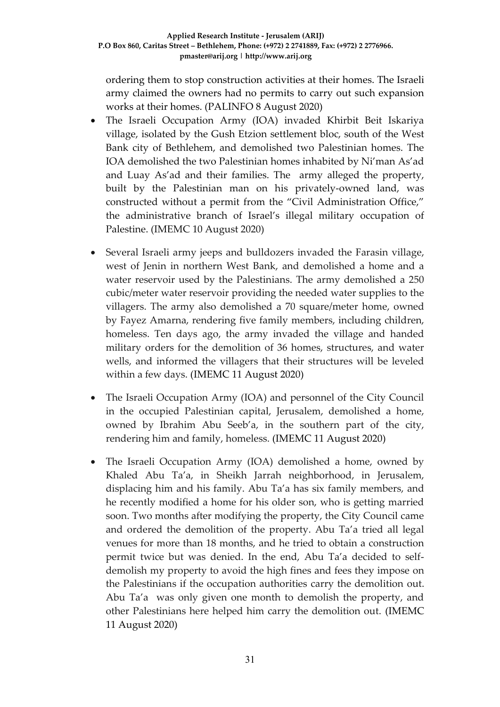ordering them to stop construction activities at their homes. The Israeli army claimed the owners had no permits to carry out such expansion works at their homes. (PALINFO 8 August 2020)

- The Israeli Occupation Army (IOA) invaded Khirbit Beit Iskariya village, isolated by the Gush Etzion settlement bloc, south of the West Bank city of Bethlehem, and demolished two Palestinian homes. The IOA demolished the two Palestinian homes inhabited by Ni'man As'ad and Luay As'ad and their families. The army alleged the property, built by the Palestinian man on his privately-owned land, was constructed without a permit from the "Civil Administration Office," the administrative branch of Israel's illegal military occupation of Palestine. (IMEMC 10 August 2020)
- Several Israeli army jeeps and bulldozers invaded the Farasin village, west of Jenin in northern West Bank, and demolished a home and a water reservoir used by the Palestinians. The army demolished a 250 cubic/meter water reservoir providing the needed water supplies to the villagers. The army also demolished a 70 square/meter home, owned by Fayez Amarna, rendering five family members, including children, homeless. Ten days ago, the army invaded the village and handed military orders for the demolition of 36 homes, structures, and water wells, and informed the villagers that their structures will be leveled within a few days. (IMEMC 11 August 2020)
- The Israeli Occupation Army (IOA) and personnel of the City Council in the occupied Palestinian capital, Jerusalem, demolished a home, owned by Ibrahim Abu Seeb'a, in the southern part of the city, rendering him and family, homeless. (IMEMC 11 August 2020)
- The Israeli Occupation Army (IOA) demolished a home, owned by Khaled Abu Ta'a, in Sheikh Jarrah neighborhood, in Jerusalem, displacing him and his family. Abu Ta'a has six family members, and he recently modified a home for his older son, who is getting married soon. Two months after modifying the property, the City Council came and ordered the demolition of the property. Abu Ta'a tried all legal venues for more than 18 months, and he tried to obtain a construction permit twice but was denied. In the end, Abu Ta'a decided to selfdemolish my property to avoid the high fines and fees they impose on the Palestinians if the occupation authorities carry the demolition out. Abu Ta'a was only given one month to demolish the property, and other Palestinians here helped him carry the demolition out. (IMEMC 11 August 2020)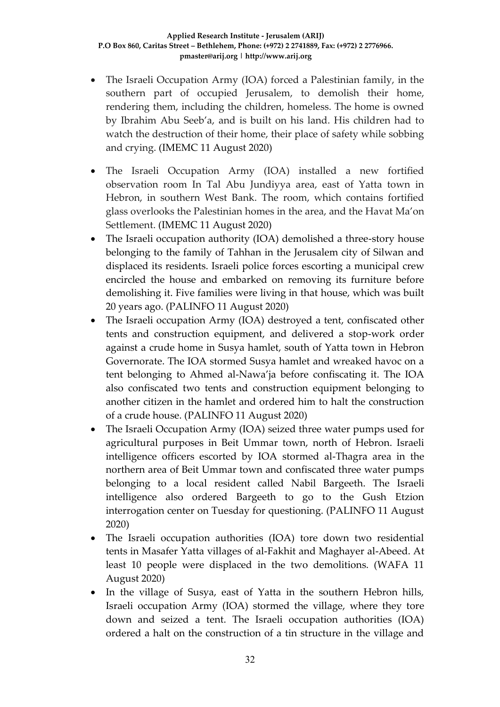- The Israeli Occupation Army (IOA) forced a Palestinian family, in the southern part of occupied Jerusalem, to demolish their home, rendering them, including the children, homeless. The home is owned by Ibrahim Abu Seeb'a, and is built on his land. His children had to watch the destruction of their home, their place of safety while sobbing and crying. (IMEMC 11 August 2020)
- The Israeli Occupation Army (IOA) installed a new fortified observation room In Tal Abu Jundiyya area, east of Yatta town in Hebron, in southern West Bank. The room, which contains fortified glass overlooks the Palestinian homes in the area, and the Havat Ma'on Settlement. (IMEMC 11 August 2020)
- The Israeli occupation authority (IOA) demolished a three-story house belonging to the family of Tahhan in the Jerusalem city of Silwan and displaced its residents. Israeli police forces escorting a municipal crew encircled the house and embarked on removing its furniture before demolishing it. Five families were living in that house, which was built 20 years ago. (PALINFO 11 August 2020)
- The Israeli occupation Army (IOA) destroyed a tent, confiscated other tents and construction equipment, and delivered a stop-work order against a crude home in Susya hamlet, south of Yatta town in Hebron Governorate. The IOA stormed Susya hamlet and wreaked havoc on a tent belonging to Ahmed al-Nawa'ja before confiscating it. The IOA also confiscated two tents and construction equipment belonging to another citizen in the hamlet and ordered him to halt the construction of a crude house. (PALINFO 11 August 2020)
- The Israeli Occupation Army (IOA) seized three water pumps used for agricultural purposes in Beit Ummar town, north of Hebron. Israeli intelligence officers escorted by IOA stormed al-Thagra area in the northern area of Beit Ummar town and confiscated three water pumps belonging to a local resident called Nabil Bargeeth. The Israeli intelligence also ordered Bargeeth to go to the Gush Etzion interrogation center on Tuesday for questioning. (PALINFO 11 August 2020)
- The Israeli occupation authorities (IOA) tore down two residential tents in Masafer Yatta villages of al-Fakhit and Maghayer al-Abeed. At least 10 people were displaced in the two demolitions. (WAFA 11 August 2020)
- In the village of Susya, east of Yatta in the southern Hebron hills, Israeli occupation Army (IOA) stormed the village, where they tore down and seized a tent. The Israeli occupation authorities (IOA) ordered a halt on the construction of a tin structure in the village and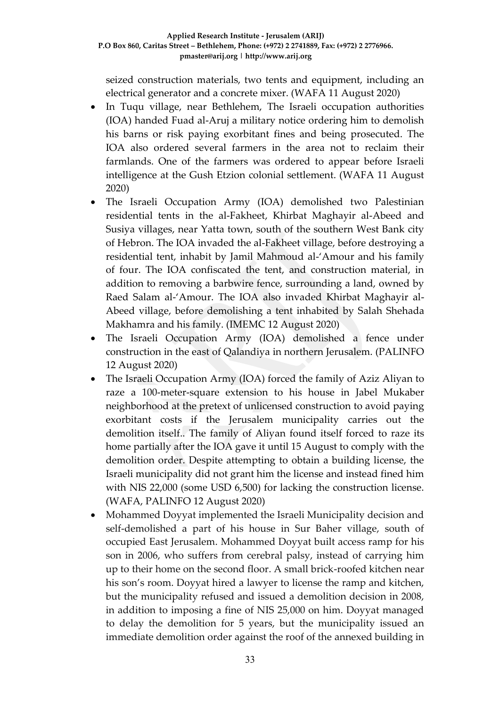seized construction materials, two tents and equipment, including an electrical generator and a concrete mixer. (WAFA 11 August 2020)

- In Tuqu village, near Bethlehem, The Israeli occupation authorities (IOA) handed Fuad al-Aruj a military notice ordering him to demolish his barns or risk paying exorbitant fines and being prosecuted. The IOA also ordered several farmers in the area not to reclaim their farmlands. One of the farmers was ordered to appear before Israeli intelligence at the Gush Etzion colonial settlement. (WAFA 11 August 2020)
- The Israeli Occupation Army (IOA) demolished two Palestinian residential tents in the al-Fakheet, Khirbat Maghayir al-Abeed and Susiya villages, near Yatta town, south of the southern West Bank city of Hebron. The IOA invaded the al-Fakheet village, before destroying a residential tent, inhabit by Jamil Mahmoud al-'Amour and his family of four. The IOA confiscated the tent, and construction material, in addition to removing a barbwire fence, surrounding a land, owned by Raed Salam al-'Amour. The IOA also invaded Khirbat Maghayir al-Abeed village, before demolishing a tent inhabited by Salah Shehada Makhamra and his family. (IMEMC 12 August 2020)
- The Israeli Occupation Army (IOA) demolished a fence under construction in the east of Qalandiya in northern Jerusalem. (PALINFO 12 August 2020)
- The Israeli Occupation Army (IOA) forced the family of Aziz Aliyan to raze a 100-meter-square extension to his house in Jabel Mukaber neighborhood at the pretext of unlicensed construction to avoid paying exorbitant costs if the Jerusalem municipality carries out the demolition itself.. The family of Aliyan found itself forced to raze its home partially after the IOA gave it until 15 August to comply with the demolition order. Despite attempting to obtain a building license, the Israeli municipality did not grant him the license and instead fined him with NIS 22,000 (some USD 6,500) for lacking the construction license. (WAFA, PALINFO 12 August 2020)
- Mohammed Doyyat implemented the Israeli Municipality decision and self-demolished a part of his house in Sur Baher village, south of occupied East Jerusalem. Mohammed Doyyat built access ramp for his son in 2006, who suffers from cerebral palsy, instead of carrying him up to their home on the second floor. A small brick-roofed kitchen near his son's room. Doyyat hired a lawyer to license the ramp and kitchen, but the municipality refused and issued a demolition decision in 2008, in addition to imposing a fine of NIS 25,000 on him. Doyyat managed to delay the demolition for 5 years, but the municipality issued an immediate demolition order against the roof of the annexed building in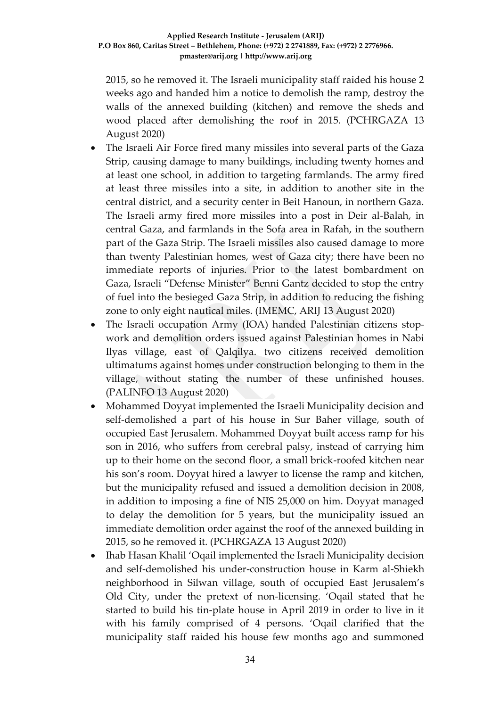2015, so he removed it. The Israeli municipality staff raided his house 2 weeks ago and handed him a notice to demolish the ramp, destroy the walls of the annexed building (kitchen) and remove the sheds and wood placed after demolishing the roof in 2015. (PCHRGAZA 13 August 2020)

- The Israeli Air Force fired many missiles into several parts of the Gaza Strip, causing damage to many buildings, including twenty homes and at least one school, in addition to targeting farmlands. The army fired at least three missiles into a site, in addition to another site in the central district, and a security center in Beit Hanoun, in northern Gaza. The Israeli army fired more missiles into a post in Deir al-Balah, in central Gaza, and farmlands in the Sofa area in Rafah, in the southern part of the Gaza Strip. The Israeli missiles also caused damage to more than twenty Palestinian homes, west of Gaza city; there have been no immediate reports of injuries. Prior to the latest bombardment on Gaza, Israeli "Defense Minister" Benni Gantz decided to stop the entry of fuel into the besieged Gaza Strip, in addition to reducing the fishing zone to only eight nautical miles. (IMEMC, ARIJ 13 August 2020)
- The Israeli occupation Army (IOA) handed Palestinian citizens stopwork and demolition orders issued against Palestinian homes in Nabi Ilyas village, east of Qalqilya. two citizens received demolition ultimatums against homes under construction belonging to them in the village, without stating the number of these unfinished houses. (PALINFO 13 August 2020)
- Mohammed Doyyat implemented the Israeli Municipality decision and self-demolished a part of his house in Sur Baher village, south of occupied East Jerusalem. Mohammed Doyyat built access ramp for his son in 2016, who suffers from cerebral palsy, instead of carrying him up to their home on the second floor, a small brick-roofed kitchen near his son's room. Doyyat hired a lawyer to license the ramp and kitchen, but the municipality refused and issued a demolition decision in 2008, in addition to imposing a fine of NIS 25,000 on him. Doyyat managed to delay the demolition for 5 years, but the municipality issued an immediate demolition order against the roof of the annexed building in 2015, so he removed it. (PCHRGAZA 13 August 2020)
- Ihab Hasan Khalil 'Oqail implemented the Israeli Municipality decision and self-demolished his under-construction house in Karm al-Shiekh neighborhood in Silwan village, south of occupied East Jerusalem's Old City, under the pretext of non-licensing. 'Oqail stated that he started to build his tin-plate house in April 2019 in order to live in it with his family comprised of 4 persons. 'Oqail clarified that the municipality staff raided his house few months ago and summoned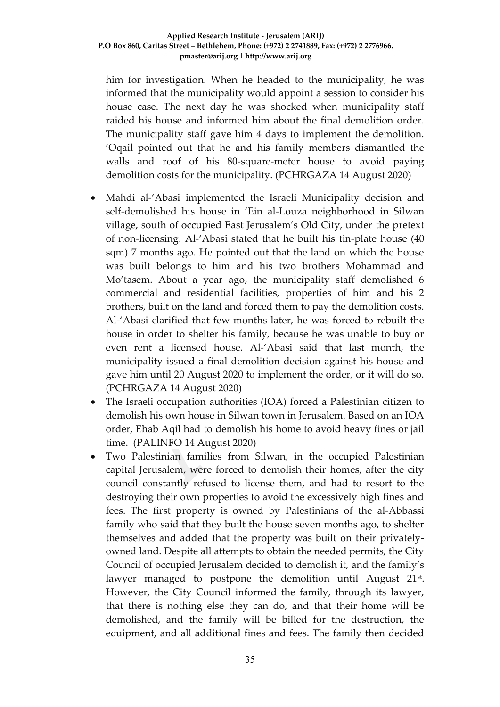him for investigation. When he headed to the municipality, he was informed that the municipality would appoint a session to consider his house case. The next day he was shocked when municipality staff raided his house and informed him about the final demolition order. The municipality staff gave him 4 days to implement the demolition. 'Oqail pointed out that he and his family members dismantled the walls and roof of his 80-square-meter house to avoid paying demolition costs for the municipality. (PCHRGAZA 14 August 2020)

- Mahdi al-'Abasi implemented the Israeli Municipality decision and self-demolished his house in 'Ein al-Louza neighborhood in Silwan village, south of occupied East Jerusalem's Old City, under the pretext of non-licensing. Al-'Abasi stated that he built his tin-plate house (40 sqm) 7 months ago. He pointed out that the land on which the house was built belongs to him and his two brothers Mohammad and Mo'tasem. About a year ago, the municipality staff demolished 6 commercial and residential facilities, properties of him and his 2 brothers, built on the land and forced them to pay the demolition costs. Al-'Abasi clarified that few months later, he was forced to rebuilt the house in order to shelter his family, because he was unable to buy or even rent a licensed house. Al-'Abasi said that last month, the municipality issued a final demolition decision against his house and gave him until 20 August 2020 to implement the order, or it will do so. (PCHRGAZA 14 August 2020)
- The Israeli occupation authorities (IOA) forced a Palestinian citizen to demolish his own house in Silwan town in Jerusalem. Based on an IOA order, Ehab Aqil had to demolish his home to avoid heavy fines or jail time. (PALINFO 14 August 2020)
- Two Palestinian families from Silwan, in the occupied Palestinian capital Jerusalem, were forced to demolish their homes, after the city council constantly refused to license them, and had to resort to the destroying their own properties to avoid the excessively high fines and fees. The first property is owned by Palestinians of the al-Abbassi family who said that they built the house seven months ago, to shelter themselves and added that the property was built on their privatelyowned land. Despite all attempts to obtain the needed permits, the City Council of occupied Jerusalem decided to demolish it, and the family's lawyer managed to postpone the demolition until August 21<sup>st</sup>. However, the City Council informed the family, through its lawyer, that there is nothing else they can do, and that their home will be demolished, and the family will be billed for the destruction, the equipment, and all additional fines and fees. The family then decided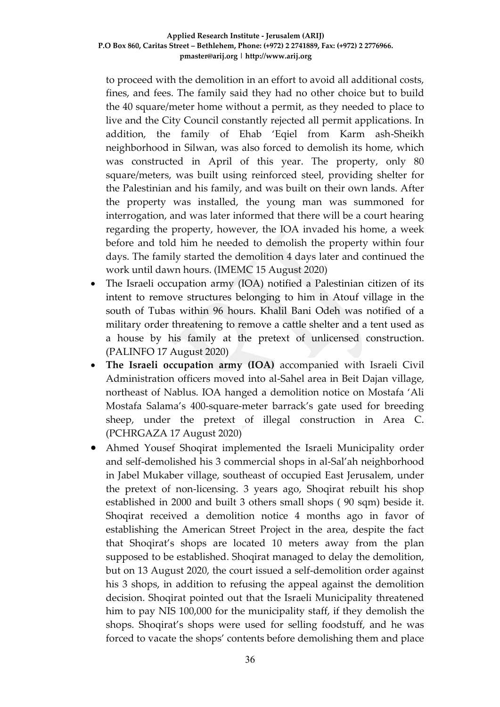to proceed with the demolition in an effort to avoid all additional costs, fines, and fees. The family said they had no other choice but to build the 40 square/meter home without a permit, as they needed to place to live and the City Council constantly rejected all permit applications. In addition, the family of Ehab 'Eqiel from Karm ash-Sheikh neighborhood in Silwan, was also forced to demolish its home, which was constructed in April of this year. The property, only 80 square/meters, was built using reinforced steel, providing shelter for the Palestinian and his family, and was built on their own lands. After the property was installed, the young man was summoned for interrogation, and was later informed that there will be a court hearing regarding the property, however, the IOA invaded his home, a week before and told him he needed to demolish the property within four days. The family started the demolition 4 days later and continued the work until dawn hours. (IMEMC 15 August 2020)

- The Israeli occupation army (IOA) notified a Palestinian citizen of its intent to remove structures belonging to him in Atouf village in the south of Tubas within 96 hours. Khalil Bani Odeh was notified of a military order threatening to remove a cattle shelter and a tent used as a house by his family at the pretext of unlicensed construction. (PALINFO 17 August 2020)
- **The Israeli occupation army (IOA)** accompanied with Israeli Civil Administration officers moved into al-Sahel area in Beit Dajan village, northeast of Nablus. IOA hanged a demolition notice on Mostafa 'Ali Mostafa Salama's 400-square-meter barrack's gate used for breeding sheep, under the pretext of illegal construction in Area C. (PCHRGAZA 17 August 2020)
- Ahmed Yousef Shoqirat implemented the Israeli Municipality order and self-demolished his 3 commercial shops in al-Sal'ah neighborhood in Jabel Mukaber village, southeast of occupied East Jerusalem, under the pretext of non-licensing. 3 years ago, Shoqirat rebuilt his shop established in 2000 and built 3 others small shops ( 90 sqm) beside it. Shoqirat received a demolition notice 4 months ago in favor of establishing the American Street Project in the area, despite the fact that Shoqirat's shops are located 10 meters away from the plan supposed to be established. Shoqirat managed to delay the demolition, but on 13 August 2020, the court issued a self-demolition order against his 3 shops, in addition to refusing the appeal against the demolition decision. Shoqirat pointed out that the Israeli Municipality threatened him to pay NIS 100,000 for the municipality staff, if they demolish the shops. Shoqirat's shops were used for selling foodstuff, and he was forced to vacate the shops' contents before demolishing them and place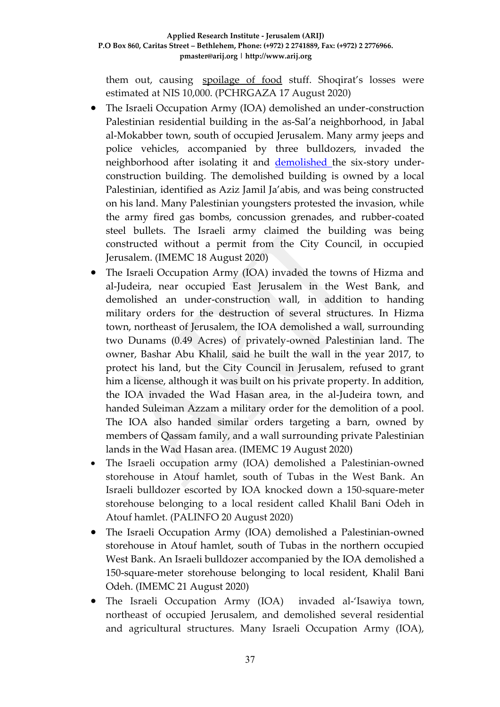them out, causing [spoilage](https://context.reverso.net/translation/english-arabic/spoilage+of+food) of food stuff. Shoqirat's losses were estimated at NIS 10,000. (PCHRGAZA 17 August 2020)

- The Israeli Occupation Army (IOA) demolished an under-construction Palestinian residential building in the as-Sal'a neighborhood, in Jabal al-Mokabber town, south of occupied Jerusalem. Many army jeeps and police vehicles, accompanied by three bulldozers, invaded the neighborhood after isolating it and **demolished** the six-story underconstruction building. The demolished building is owned by a local Palestinian, identified as Aziz Jamil Ja'abis, and was being constructed on his land. Many Palestinian youngsters protested the invasion, while the army fired gas bombs, concussion grenades, and rubber-coated steel bullets. The Israeli army claimed the building was being constructed without a permit from the City Council, in occupied Jerusalem. (IMEMC 18 August 2020)
- The Israeli Occupation Army (IOA) invaded the towns of Hizma and al-Judeira, near occupied East Jerusalem in the West Bank, and demolished an under-construction wall, in addition to handing military orders for the destruction of several structures. In Hizma town, northeast of Jerusalem, the IOA demolished a wall, surrounding two Dunams (0.49 Acres) of privately-owned Palestinian land. The owner, Bashar Abu Khalil, said he built the wall in the year 2017, to protect his land, but the City Council in Jerusalem, refused to grant him a license, although it was built on his private property. In addition, the IOA invaded the Wad Hasan area, in the al-Judeira town, and handed Suleiman Azzam a military order for the demolition of a pool. The IOA also handed similar orders targeting a barn, owned by members of Qassam family, and a wall surrounding private Palestinian lands in the Wad Hasan area. (IMEMC 19 August 2020)
- The Israeli occupation army (IOA) demolished a Palestinian-owned storehouse in Atouf hamlet, south of Tubas in the West Bank. An Israeli bulldozer escorted by IOA knocked down a 150-square-meter storehouse belonging to a local resident called Khalil Bani Odeh in Atouf hamlet. (PALINFO 20 August 2020)
- The Israeli Occupation Army (IOA) demolished a Palestinian-owned storehouse in Atouf hamlet, south of Tubas in the northern occupied West Bank. An Israeli bulldozer accompanied by the IOA demolished a 150-square-meter storehouse belonging to local resident, Khalil Bani Odeh. (IMEMC 21 August 2020)
- The Israeli Occupation Army (IOA) invaded al-'Isawiya town, northeast of occupied Jerusalem, and demolished several residential and agricultural structures. Many Israeli Occupation Army (IOA),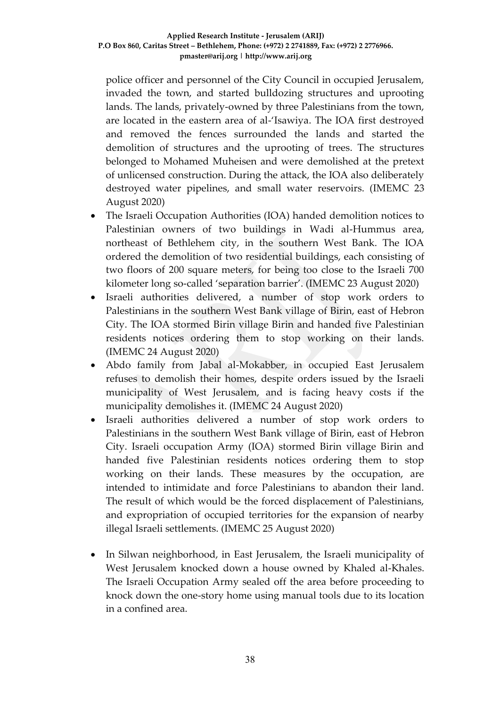police officer and personnel of the City Council in occupied Jerusalem, invaded the town, and started bulldozing structures and uprooting lands. The lands, privately-owned by three Palestinians from the town, are located in the eastern area of al-'Isawiya. The IOA first destroyed and removed the fences surrounded the lands and started the demolition of structures and the uprooting of trees. The structures belonged to Mohamed Muheisen and were demolished at the pretext of unlicensed construction. During the attack, the IOA also deliberately destroyed water pipelines, and small water reservoirs. (IMEMC 23 August 2020)

- The Israeli Occupation Authorities (IOA) handed demolition notices to Palestinian owners of two buildings in Wadi al-Hummus area, northeast of Bethlehem city, in the southern West Bank. The IOA ordered the demolition of two residential buildings, each consisting of two floors of 200 square meters, for being too close to the Israeli 700 kilometer long so-called 'separation barrier'. (IMEMC 23 August 2020)
- Israeli authorities delivered, a number of stop work orders to Palestinians in the southern West Bank village of Birin, east of Hebron City. The IOA stormed Birin village Birin and handed five Palestinian residents notices ordering them to stop working on their lands. (IMEMC 24 August 2020)
- Abdo family from Jabal al-Mokabber, in occupied East Jerusalem refuses to demolish their homes, despite orders issued by the Israeli municipality of West Jerusalem, and is facing heavy costs if the municipality demolishes it. (IMEMC 24 August 2020)
- Israeli authorities delivered a number of stop work orders to Palestinians in the southern West Bank village of Birin, east of Hebron City. Israeli occupation Army (IOA) stormed Birin village Birin and handed five Palestinian residents notices ordering them to stop working on their lands. These measures by the occupation, are intended to intimidate and force Palestinians to abandon their land. The result of which would be the forced displacement of Palestinians, and expropriation of occupied territories for the expansion of nearby illegal Israeli settlements. (IMEMC 25 August 2020)
- In Silwan neighborhood, in East Jerusalem, the Israeli municipality of West Jerusalem knocked down a house owned by Khaled al-Khales. The Israeli Occupation Army sealed off the area before proceeding to knock down the one-story home using manual tools due to its location in a confined area.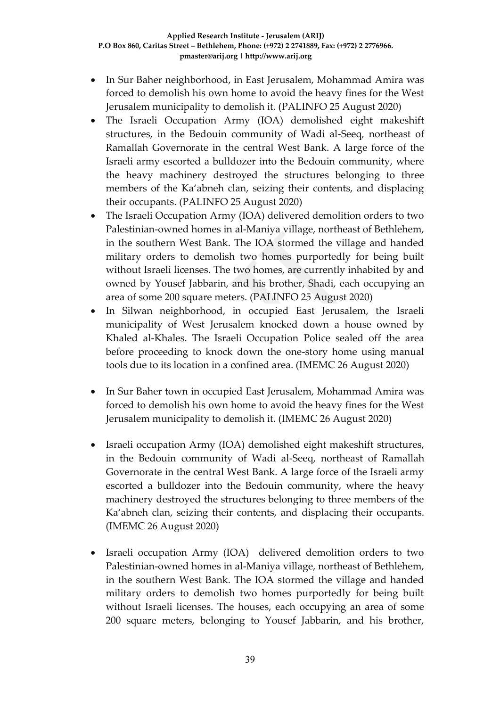- In Sur Baher neighborhood, in East Jerusalem, Mohammad Amira was forced to demolish his own home to avoid the heavy fines for the West Jerusalem municipality to demolish it. (PALINFO 25 August 2020)
- The Israeli Occupation Army (IOA) demolished eight makeshift structures, in the Bedouin community of Wadi al-Seeq, northeast of Ramallah Governorate in the central West Bank. A large force of the Israeli army escorted a bulldozer into the Bedouin community, where the heavy machinery destroyed the structures belonging to three members of the Ka'abneh clan, seizing their contents, and displacing their occupants. (PALINFO 25 August 2020)
- The Israeli Occupation Army (IOA) delivered demolition orders to two Palestinian-owned homes in al-Maniya village, northeast of Bethlehem, in the southern West Bank. The IOA stormed the village and handed military orders to demolish two homes purportedly for being built without Israeli licenses. The two homes, are currently inhabited by and owned by Yousef Jabbarin, and his brother, Shadi, each occupying an area of some 200 square meters. (PALINFO 25 August 2020)
- In Silwan neighborhood, in occupied East Jerusalem, the Israeli municipality of West Jerusalem knocked down a house owned by Khaled al-Khales. The Israeli Occupation Police sealed off the area before proceeding to knock down the one-story home using manual tools due to its location in a confined area. (IMEMC 26 August 2020)
- In Sur Baher town in occupied East Jerusalem, Mohammad Amira was forced to demolish his own home to avoid the heavy fines for the West Jerusalem municipality to demolish it. (IMEMC 26 August 2020)
- Israeli occupation Army (IOA) demolished eight makeshift structures, in the Bedouin community of Wadi al-Seeq, northeast of Ramallah Governorate in the central West Bank. A large force of the Israeli army escorted a bulldozer into the Bedouin community, where the heavy machinery destroyed the structures belonging to three members of the Ka'abneh clan, seizing their contents, and displacing their occupants. (IMEMC 26 August 2020)
- Israeli occupation Army (IOA) delivered demolition orders to two Palestinian-owned homes in al-Maniya village, northeast of Bethlehem, in the southern West Bank. The IOA stormed the village and handed military orders to demolish two homes purportedly for being built without Israeli licenses. The houses, each occupying an area of some 200 square meters, belonging to Yousef Jabbarin, and his brother,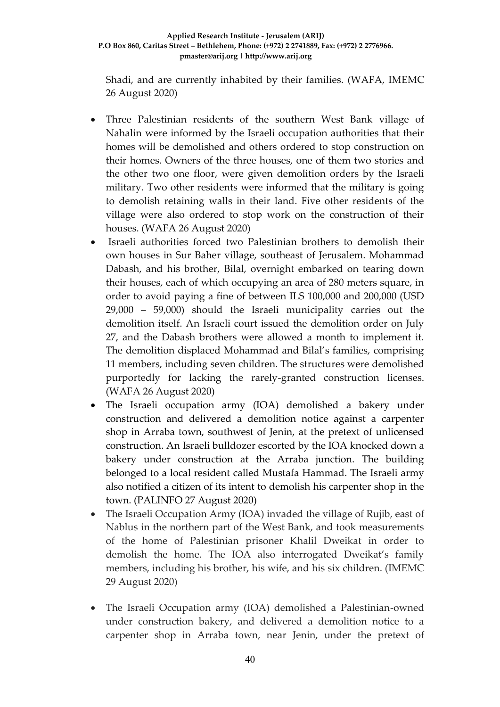Shadi, and are currently inhabited by their families. (WAFA, IMEMC 26 August 2020)

- Three Palestinian residents of the southern West Bank village of Nahalin were informed by the Israeli occupation authorities that their homes will be demolished and others ordered to stop construction on their homes. Owners of the three houses, one of them two stories and the other two one floor, were given demolition orders by the Israeli military. Two other residents were informed that the military is going to demolish retaining walls in their land. Five other residents of the village were also ordered to stop work on the construction of their houses. (WAFA 26 August 2020)
- Israeli authorities forced two Palestinian brothers to demolish their own houses in Sur Baher village, southeast of Jerusalem. Mohammad Dabash, and his brother, Bilal, overnight embarked on tearing down their houses, each of which occupying an area of 280 meters square, in order to avoid paying a fine of between ILS 100,000 and 200,000 (USD 29,000 – 59,000) should the Israeli municipality carries out the demolition itself. An Israeli court issued the demolition order on July 27, and the Dabash brothers were allowed a month to implement it. The demolition displaced Mohammad and Bilal's families, comprising 11 members, including seven children. The structures were demolished purportedly for lacking the rarely-granted construction licenses. (WAFA 26 August 2020)
- The Israeli occupation army (IOA) demolished a bakery under construction and delivered a demolition notice against a carpenter shop in Arraba town, southwest of Jenin, at the pretext of unlicensed construction. An Israeli bulldozer escorted by the IOA knocked down a bakery under construction at the Arraba junction. The building belonged to a local resident called Mustafa Hammad. The Israeli army also notified a citizen of its intent to demolish his carpenter shop in the town. (PALINFO 27 August 2020)
- The Israeli Occupation Army (IOA) invaded the village of Rujib, east of Nablus in the northern part of the West Bank, and took measurements of the home of Palestinian prisoner Khalil Dweikat in order to demolish the home. The IOA also interrogated Dweikat's family members, including his brother, his wife, and his six children. (IMEMC 29 August 2020)
- The Israeli Occupation army (IOA) demolished a Palestinian-owned under construction bakery, and delivered a demolition notice to a carpenter shop in Arraba town, near Jenin, under the pretext of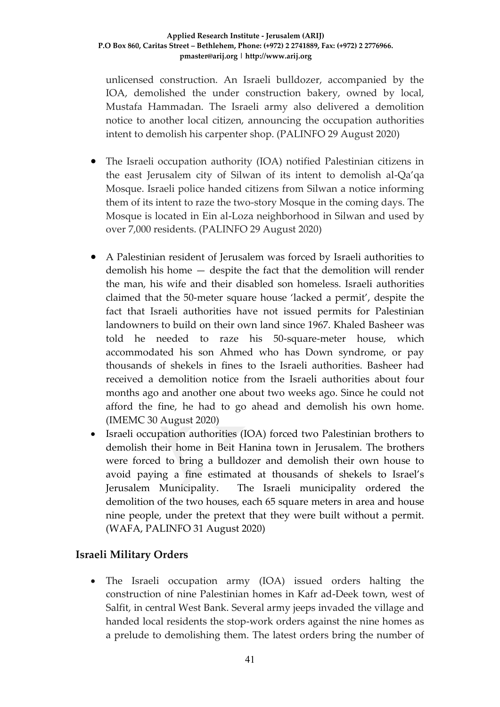#### **Applied Research Institute - Jerusalem (ARIJ) P.O Box 860, Caritas Street – Bethlehem, Phone: (+972) 2 2741889, Fax: (+972) 2 2776966. pmaster@arij.org | http://www.arij.org**

unlicensed construction. An Israeli bulldozer, accompanied by the IOA, demolished the under construction bakery, owned by local, Mustafa Hammadan. The Israeli army also delivered a demolition notice to another local citizen, announcing the occupation authorities intent to demolish his carpenter shop. (PALINFO 29 August 2020)

- The Israeli occupation authority (IOA) notified Palestinian citizens in the east Jerusalem city of Silwan of its intent to demolish al-Qa'qa Mosque. Israeli police handed citizens from Silwan a notice informing them of its intent to raze the two-story Mosque in the coming days. The Mosque is located in Ein al-Loza neighborhood in Silwan and used by over 7,000 residents. (PALINFO 29 August 2020)
- A Palestinian resident of Jerusalem was forced by Israeli authorities to demolish his home — despite the fact that the demolition will render the man, his wife and their disabled son homeless. Israeli authorities claimed that the 50-meter square house 'lacked a permit', despite the fact that Israeli authorities have not issued permits for Palestinian landowners to build on their own land since 1967. Khaled Basheer was told he needed to raze his 50-square-meter house, which accommodated his son Ahmed who has Down syndrome, or pay thousands of shekels in fines to the Israeli authorities. Basheer had received a demolition notice from the Israeli authorities about four months ago and another one about two weeks ago. Since he could not afford the fine, he had to go ahead and demolish his own home. (IMEMC 30 August 2020)
- Israeli occupation authorities (IOA) forced two Palestinian brothers to demolish their home in Beit Hanina town in Jerusalem. The brothers were forced to bring a bulldozer and demolish their own house to avoid paying a fine estimated at thousands of shekels to Israel's Jerusalem Municipality. The Israeli municipality ordered the demolition of the two houses, each 65 square meters in area and house nine people, under the pretext that they were built without a permit. (WAFA, PALINFO 31 August 2020)

### **Israeli Military Orders**

 The Israeli occupation army (IOA) issued orders halting the construction of nine Palestinian homes in Kafr ad-Deek town, west of Salfit, in central West Bank. Several army jeeps invaded the village and handed local residents the stop-work orders against the nine homes as a prelude to demolishing them. The latest orders bring the number of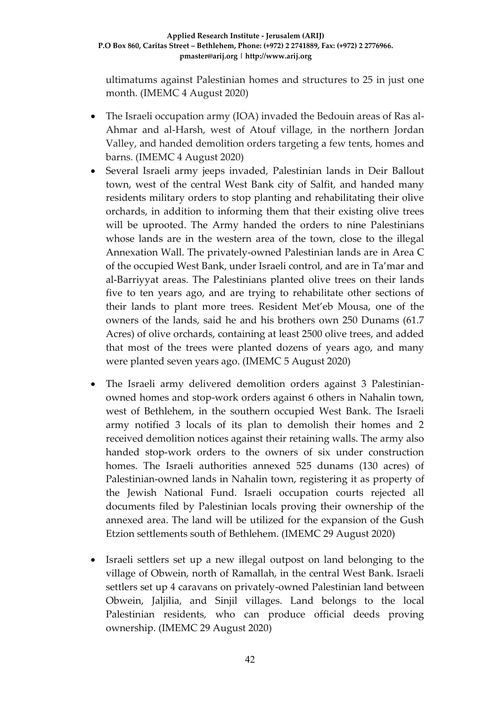ultimatums against Palestinian homes and structures to 25 in just one month. (IMEMC 4 August 2020)

- The Israeli occupation army (IOA) invaded the Bedouin areas of Ras al-Ahmar and al-Harsh, west of Atouf village, in the northern Jordan Valley, and handed demolition orders targeting a few tents, homes and barns. (IMEMC 4 August 2020)
- Several Israeli army jeeps invaded, Palestinian lands in Deir Ballout town, west of the central West Bank city of Salfit, and handed many residents military orders to stop planting and rehabilitating their olive orchards, in addition to informing them that their existing olive trees will be uprooted. The Army handed the orders to nine Palestinians whose lands are in the western area of the town, close to the illegal Annexation Wall. The privately-owned Palestinian lands are in Area C of the occupied West Bank, under Israeli control, and are in Ta'mar and al-Barriyyat areas. The Palestinians planted olive trees on their lands five to ten years ago, and are trying to rehabilitate other sections of their lands to plant more trees. Resident Met'eb Mousa, one of the owners of the lands, said he and his brothers own 250 Dunams (61.7 Acres) of olive orchards, containing at least 2500 olive trees, and added that most of the trees were planted dozens of years ago, and many were planted seven years ago. (IMEMC 5 August 2020)
- The Israeli army delivered demolition orders against 3 Palestinianowned homes and stop-work orders against 6 others in Nahalin town, west of Bethlehem, in the southern occupied West Bank. The Israeli army notified 3 locals of its plan to demolish their homes and 2 received demolition notices against their retaining walls. The army also handed stop-work orders to the owners of six under construction homes. The Israeli authorities annexed 525 dunams (130 acres) of Palestinian-owned lands in Nahalin town, registering it as property of the Jewish National Fund. Israeli occupation courts rejected all documents filed by Palestinian locals proving their ownership of the annexed area. The land will be utilized for the expansion of the Gush Etzion settlements south of Bethlehem. (IMEMC 29 August 2020)
- Israeli settlers set up a new illegal outpost on land belonging to the village of Obwein, north of Ramallah, in the central West Bank. Israeli settlers set up 4 caravans on privately-owned Palestinian land between Obwein, Jaljilia, and Sinjil villages. Land belongs to the local Palestinian residents, who can produce official deeds proving ownership. (IMEMC 29 August 2020)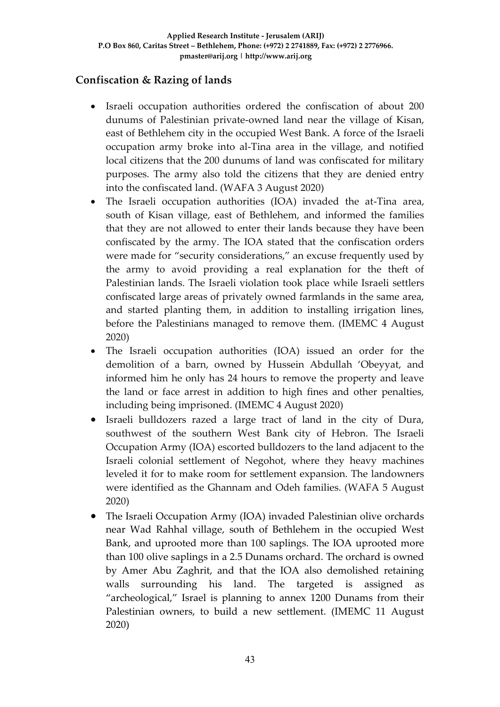### **Confiscation & Razing of lands**

- Israeli occupation authorities ordered the confiscation of about 200 dunums of Palestinian private-owned land near the village of Kisan, east of Bethlehem city in the occupied West Bank. A force of the Israeli occupation army broke into al-Tina area in the village, and notified local citizens that the 200 dunums of land was confiscated for military purposes. The army also told the citizens that they are denied entry into the confiscated land. (WAFA 3 August 2020)
- The Israeli occupation authorities (IOA) invaded the at-Tina area, south of Kisan village, east of Bethlehem, and informed the families that they are not allowed to enter their lands because they have been confiscated by the army. The IOA stated that the confiscation orders were made for "security considerations," an excuse frequently used by the army to avoid providing a real explanation for the theft of Palestinian lands. The Israeli violation took place while Israeli settlers confiscated large areas of privately owned farmlands in the same area, and started planting them, in addition to installing irrigation lines, before the Palestinians managed to remove them. (IMEMC 4 August 2020)
- The Israeli occupation authorities (IOA) issued an order for the demolition of a barn, owned by Hussein Abdullah 'Obeyyat, and informed him he only has 24 hours to remove the property and leave the land or face arrest in addition to high fines and other penalties, including being imprisoned. (IMEMC 4 August 2020)
- Israeli bulldozers razed a large tract of land in the city of Dura, southwest of the southern West Bank city of Hebron. The Israeli Occupation Army (IOA) escorted bulldozers to the land adjacent to the Israeli colonial settlement of Negohot, where they heavy machines leveled it for to make room for settlement expansion. The landowners were identified as the Ghannam and Odeh families. (WAFA 5 August 2020)
- The Israeli Occupation Army (IOA) invaded Palestinian olive orchards near Wad Rahhal village, south of Bethlehem in the occupied West Bank, and uprooted more than 100 saplings. The IOA uprooted more than 100 olive saplings in a 2.5 Dunams orchard. The orchard is owned by Amer Abu Zaghrit, and that the IOA also demolished retaining walls surrounding his land. The targeted is assigned as "archeological," Israel is planning to annex 1200 Dunams from their Palestinian owners, to build a new settlement. (IMEMC 11 August 2020)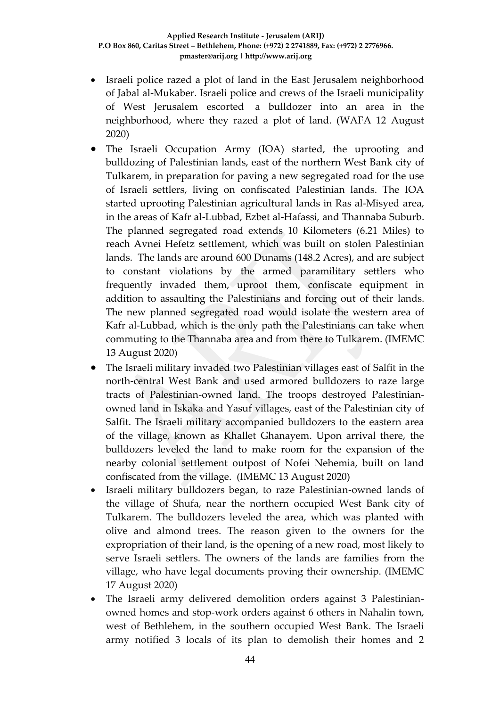- Israeli police razed a plot of land in the East Jerusalem neighborhood of Jabal al-Mukaber. Israeli police and crews of the Israeli municipality of West Jerusalem escorted a bulldozer into an area in the neighborhood, where they razed a plot of land. (WAFA 12 August 2020)
- The Israeli Occupation Army (IOA) started, the uprooting and bulldozing of Palestinian lands, east of the northern West Bank city of Tulkarem, in preparation for paving a new segregated road for the use of Israeli settlers, living on confiscated Palestinian lands. The IOA started uprooting Palestinian agricultural lands in Ras al-Misyed area, in the areas of Kafr al-Lubbad, Ezbet al-Hafassi, and Thannaba Suburb. The planned segregated road extends 10 Kilometers (6.21 Miles) to reach Avnei Hefetz settlement, which was built on stolen Palestinian lands. The lands are around 600 Dunams (148.2 Acres), and are subject to constant violations by the armed paramilitary settlers who frequently invaded them, uproot them, confiscate equipment in addition to assaulting the Palestinians and forcing out of their lands. The new planned segregated road would isolate the western area of Kafr al-Lubbad, which is the only path the Palestinians can take when commuting to the Thannaba area and from there to Tulkarem. (IMEMC 13 August 2020)
- The Israeli military invaded two Palestinian villages east of Salfit in the north-central West Bank and used armored bulldozers to raze large tracts of Palestinian-owned land. The troops destroyed Palestinianowned land in Iskaka and Yasuf villages, east of the Palestinian city of Salfit. The Israeli military accompanied bulldozers to the eastern area of the village, known as Khallet Ghanayem. Upon arrival there, the bulldozers leveled the land to make room for the expansion of the nearby colonial settlement outpost of Nofei Nehemia, built on land confiscated from the village. (IMEMC 13 August 2020)
- Israeli military bulldozers began, to raze Palestinian-owned lands of the village of Shufa, near the northern occupied West Bank city of Tulkarem. The bulldozers leveled the area, which was planted with olive and almond trees. The reason given to the owners for the expropriation of their land, is the opening of a new road, most likely to serve Israeli settlers. The owners of the lands are families from the village, who have legal documents proving their ownership. (IMEMC 17 August 2020)
- The Israeli army delivered demolition orders against 3 Palestinianowned homes and stop-work orders against 6 others in Nahalin town, west of Bethlehem, in the southern occupied West Bank. The Israeli army notified 3 locals of its plan to demolish their homes and 2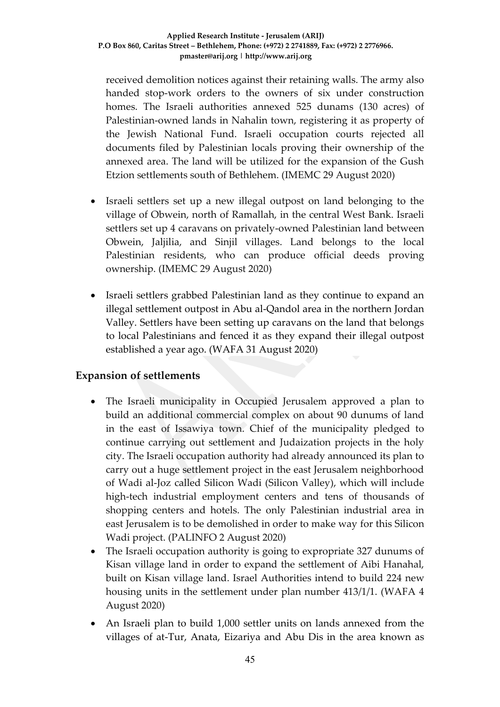received demolition notices against their retaining walls. The army also handed stop-work orders to the owners of six under construction homes. The Israeli authorities annexed 525 dunams (130 acres) of Palestinian-owned lands in Nahalin town, registering it as property of the Jewish National Fund. Israeli occupation courts rejected all documents filed by Palestinian locals proving their ownership of the annexed area. The land will be utilized for the expansion of the Gush Etzion settlements south of Bethlehem. (IMEMC 29 August 2020)

- Israeli settlers set up a new illegal outpost on land belonging to the village of Obwein, north of Ramallah, in the central West Bank. Israeli settlers set up 4 caravans on privately-owned Palestinian land between Obwein, Jaljilia, and Sinjil villages. Land belongs to the local Palestinian residents, who can produce official deeds proving ownership. (IMEMC 29 August 2020)
- Israeli settlers grabbed Palestinian land as they continue to expand an illegal settlement outpost in Abu al-Qandol area in the northern Jordan Valley. Settlers have been setting up caravans on the land that belongs to local Palestinians and fenced it as they expand their illegal outpost established a year ago. (WAFA 31 August 2020)

### **Expansion of settlements**

- The Israeli municipality in Occupied Jerusalem approved a plan to build an additional commercial complex on about 90 dunums of land in the east of Issawiya town. Chief of the municipality pledged to continue carrying out settlement and Judaization projects in the holy city. The Israeli occupation authority had already announced its plan to carry out a huge settlement project in the east Jerusalem neighborhood of Wadi al-Joz called Silicon Wadi (Silicon Valley), which will include high-tech industrial employment centers and tens of thousands of shopping centers and hotels. The only Palestinian industrial area in east Jerusalem is to be demolished in order to make way for this Silicon Wadi project. (PALINFO 2 August 2020)
- The Israeli occupation authority is going to expropriate 327 dunums of Kisan village land in order to expand the settlement of Aibi Hanahal, built on Kisan village land. Israel Authorities intend to build 224 new housing units in the settlement under plan number 413/1/1. (WAFA 4 August 2020)
- An Israeli plan to build 1,000 settler units on lands annexed from the villages of at-Tur, Anata, Eizariya and Abu Dis in the area known as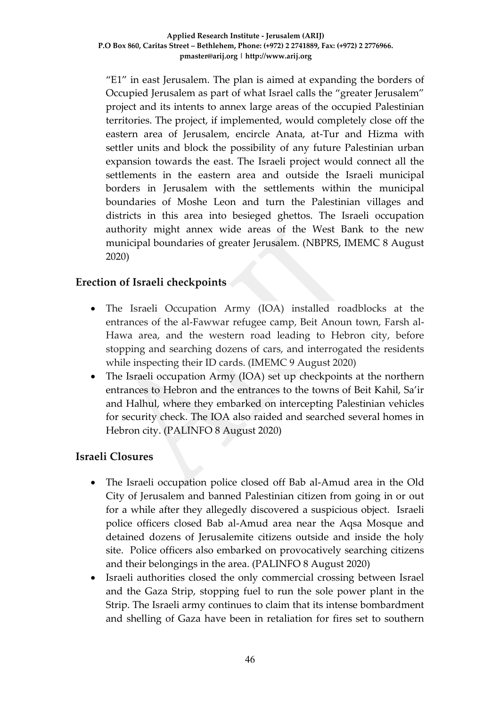"E1" in east Jerusalem. The plan is aimed at expanding the borders of Occupied Jerusalem as part of what Israel calls the "greater Jerusalem" project and its intents to annex large areas of the occupied Palestinian territories. The project, if implemented, would completely close off the eastern area of Jerusalem, encircle Anata, at-Tur and Hizma with settler units and block the possibility of any future Palestinian urban expansion towards the east. The Israeli project would connect all the settlements in the eastern area and outside the Israeli municipal borders in Jerusalem with the settlements within the municipal boundaries of Moshe Leon and turn the Palestinian villages and districts in this area into besieged ghettos. The Israeli occupation authority might annex wide areas of the West Bank to the new municipal boundaries of greater Jerusalem. (NBPRS, IMEMC 8 August 2020)

### **Erection of Israeli checkpoints**

- The Israeli Occupation Army (IOA) installed roadblocks at the entrances of the al-Fawwar refugee camp, Beit Anoun town, Farsh al-Hawa area, and the western road leading to Hebron city, before stopping and searching dozens of cars, and interrogated the residents while inspecting their ID cards. (IMEMC 9 August 2020)
- The Israeli occupation Army (IOA) set up checkpoints at the northern entrances to Hebron and the entrances to the towns of Beit Kahil, Sa'ir and Halhul, where they embarked on intercepting Palestinian vehicles for security check. The IOA also raided and searched several homes in Hebron city. (PALINFO 8 August 2020)

#### **Israeli Closures**

- The Israeli occupation police closed off Bab al-Amud area in the Old City of Jerusalem and banned Palestinian citizen from going in or out for a while after they allegedly discovered a suspicious object. Israeli police officers closed Bab al-Amud area near the Aqsa Mosque and detained dozens of Jerusalemite citizens outside and inside the holy site. Police officers also embarked on provocatively searching citizens and their belongings in the area. (PALINFO 8 August 2020)
- Israeli authorities closed the only commercial crossing between Israel and the Gaza Strip, stopping fuel to run the sole power plant in the Strip. The Israeli army continues to claim that its intense bombardment and shelling of Gaza have been in retaliation for fires set to southern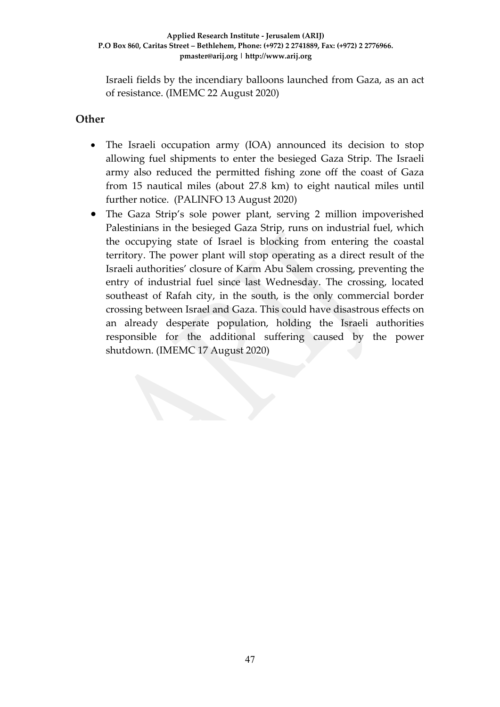Israeli fields by the incendiary balloons launched from Gaza, as an act of resistance. (IMEMC 22 August 2020)

### **Other**

- The Israeli occupation army (IOA) announced its decision to stop allowing fuel shipments to enter the besieged Gaza Strip. The Israeli army also reduced the permitted fishing zone off the coast of Gaza from 15 nautical miles (about 27.8 km) to eight nautical miles until further notice. (PALINFO 13 August 2020)
- The Gaza Strip's sole power plant, serving 2 million impoverished Palestinians in the besieged Gaza Strip, runs on industrial fuel, which the occupying state of Israel is blocking from entering the coastal territory. The power plant will stop operating as a direct result of the Israeli authorities' closure of Karm Abu Salem crossing, preventing the entry of industrial fuel since last Wednesday. The crossing, located southeast of Rafah city, in the south, is the only commercial border crossing between Israel and Gaza. This could have disastrous effects on an already desperate population, holding the Israeli authorities responsible for the additional suffering caused by the power shutdown. (IMEMC 17 August 2020)